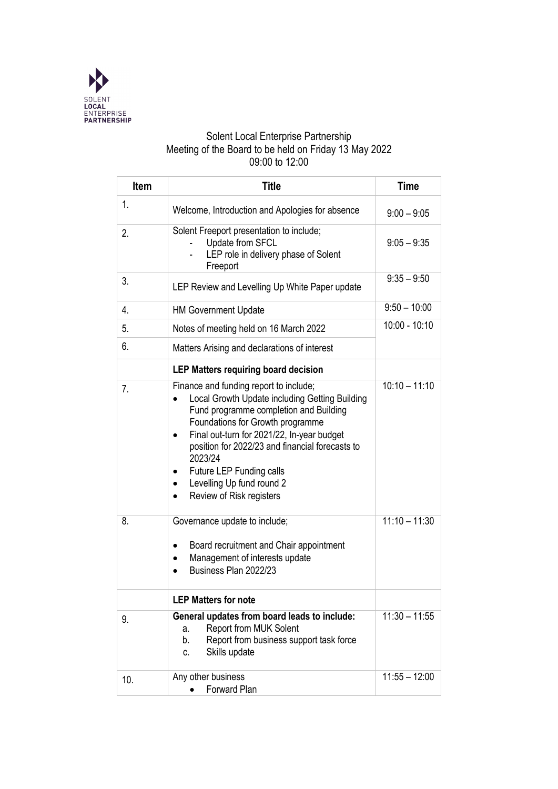

### Solent Local Enterprise Partnership Meeting of the Board to be held on Friday 13 May 2022 09:00 to 12:00

| <b>Item</b> | <b>Title</b>                                                                                                                                                                                                                                                                                                                                                                         | <b>Time</b>     |
|-------------|--------------------------------------------------------------------------------------------------------------------------------------------------------------------------------------------------------------------------------------------------------------------------------------------------------------------------------------------------------------------------------------|-----------------|
| 1.          | Welcome, Introduction and Apologies for absence                                                                                                                                                                                                                                                                                                                                      | $9:00 - 9:05$   |
| 2.          | Solent Freeport presentation to include;<br>Update from SFCL<br>LEP role in delivery phase of Solent<br>Freeport                                                                                                                                                                                                                                                                     | $9:05 - 9:35$   |
| 3.          | LEP Review and Levelling Up White Paper update                                                                                                                                                                                                                                                                                                                                       | $9:35 - 9:50$   |
| 4.          | <b>HM Government Update</b>                                                                                                                                                                                                                                                                                                                                                          | $9:50 - 10:00$  |
| 5.          | Notes of meeting held on 16 March 2022                                                                                                                                                                                                                                                                                                                                               | 10:00 - 10:10   |
| 6.          | Matters Arising and declarations of interest                                                                                                                                                                                                                                                                                                                                         |                 |
|             | <b>LEP Matters requiring board decision</b>                                                                                                                                                                                                                                                                                                                                          |                 |
| 7.          | Finance and funding report to include;<br>Local Growth Update including Getting Building<br>Fund programme completion and Building<br>Foundations for Growth programme<br>Final out-turn for 2021/22, In-year budget<br>position for 2022/23 and financial forecasts to<br>2023/24<br>Future LEP Funding calls<br>Levelling Up fund round 2<br>Review of Risk registers<br>$\bullet$ | $10:10 - 11:10$ |
| 8.          | Governance update to include;<br>Board recruitment and Chair appointment<br>Management of interests update<br>Business Plan 2022/23                                                                                                                                                                                                                                                  | $11:10 - 11:30$ |
|             | <b>LEP Matters for note</b>                                                                                                                                                                                                                                                                                                                                                          |                 |
| 9.          | General updates from board leads to include:<br><b>Report from MUK Solent</b><br>a.<br>Report from business support task force<br>b.<br>Skills update<br>C.                                                                                                                                                                                                                          | $11:30 - 11:55$ |
| 10.         | Any other business<br>Forward Plan                                                                                                                                                                                                                                                                                                                                                   | $11:55 - 12:00$ |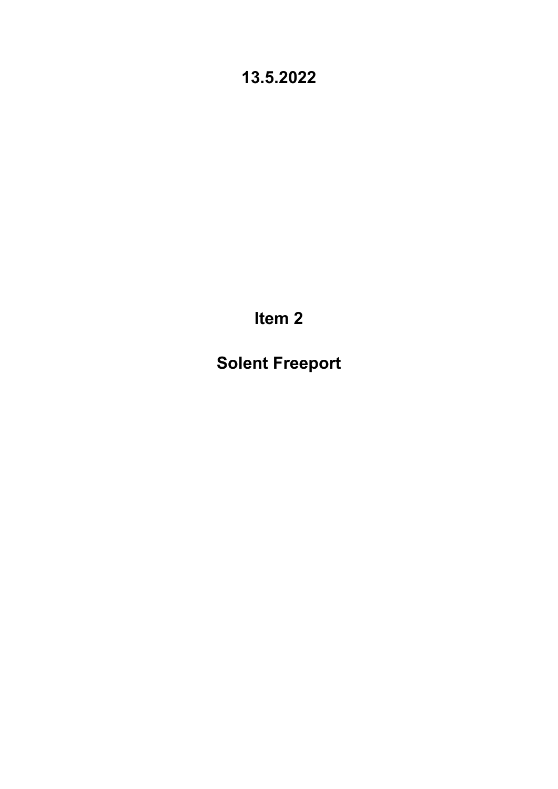**Item 2**

**Solent Freeport**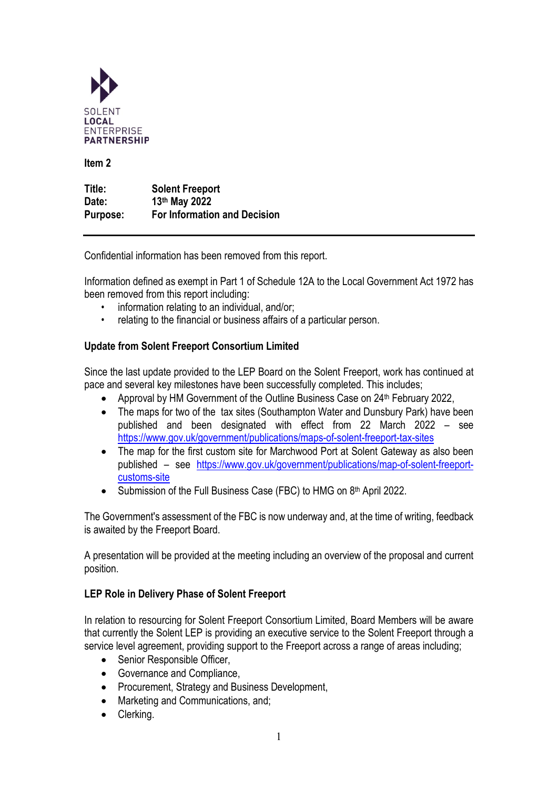

**Item 2** 

**Title: Solent Freeport Date: 13th May 2022 Purpose: For Information and Decision**

Confidential information has been removed from this report.

Information defined as exempt in Part 1 of Schedule 12A to the Local Government Act 1972 has been removed from this report including:

- information relating to an individual, and/or;
- relating to the financial or business affairs of a particular person.

### **Update from Solent Freeport Consortium Limited**

Since the last update provided to the LEP Board on the Solent Freeport, work has continued at pace and several key milestones have been successfully completed. This includes;

- Approval by HM Government of the Outline Business Case on 24<sup>th</sup> February 2022,
- The maps for two of the tax sites (Southampton Water and Dunsbury Park) have been published and been designated with effect from 22 March 2022 – see <https://www.gov.uk/government/publications/maps-of-solent-freeport-tax-sites>
- The map for the first custom site for Marchwood Port at Solent Gateway as also been published – see [https://www.gov.uk/government/publications/map-of-solent-freeport](https://www.gov.uk/government/publications/map-of-solent-freeport-customs-site)[customs-site](https://www.gov.uk/government/publications/map-of-solent-freeport-customs-site)
- Submission of the Full Business Case (FBC) to HMG on 8th April 2022.

The Government's assessment of the FBC is now underway and, at the time of writing, feedback is awaited by the Freeport Board.

A presentation will be provided at the meeting including an overview of the proposal and current position.

### **LEP Role in Delivery Phase of Solent Freeport**

In relation to resourcing for Solent Freeport Consortium Limited, Board Members will be aware that currently the Solent LEP is providing an executive service to the Solent Freeport through a service level agreement, providing support to the Freeport across a range of areas including;

- Senior Responsible Officer,
- Governance and Compliance,
- Procurement, Strategy and Business Development,
- Marketing and Communications, and;
- Clerking.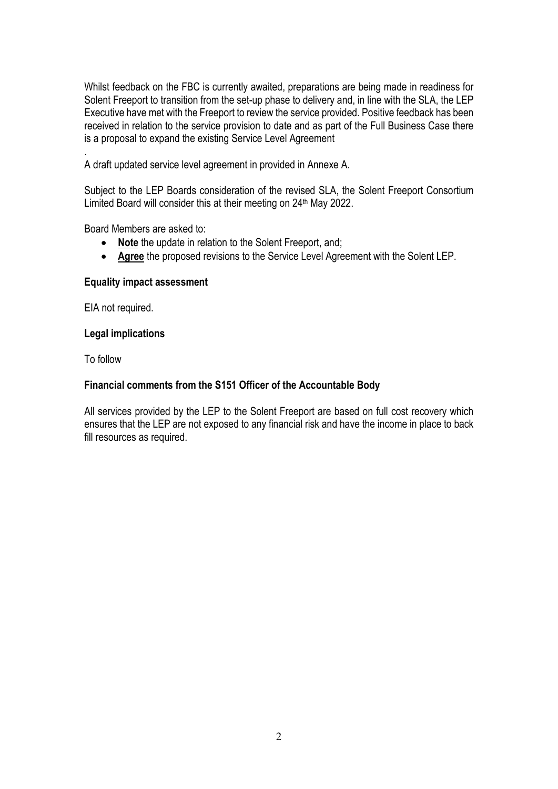Whilst feedback on the FBC is currently awaited, preparations are being made in readiness for Solent Freeport to transition from the set-up phase to delivery and, in line with the SLA, the LEP Executive have met with the Freeport to review the service provided. Positive feedback has been received in relation to the service provision to date and as part of the Full Business Case there is a proposal to expand the existing Service Level Agreement

. A draft updated service level agreement in provided in Annexe A.

Subject to the LEP Boards consideration of the revised SLA, the Solent Freeport Consortium Limited Board will consider this at their meeting on 24<sup>th</sup> May 2022.

Board Members are asked to:

- **Note** the update in relation to the Solent Freeport, and;
- **Agree** the proposed revisions to the Service Level Agreement with the Solent LEP.

### **Equality impact assessment**

EIA not required.

### **Legal implications**

To follow

### **Financial comments from the S151 Officer of the Accountable Body**

All services provided by the LEP to the Solent Freeport are based on full cost recovery which ensures that the LEP are not exposed to any financial risk and have the income in place to back fill resources as required.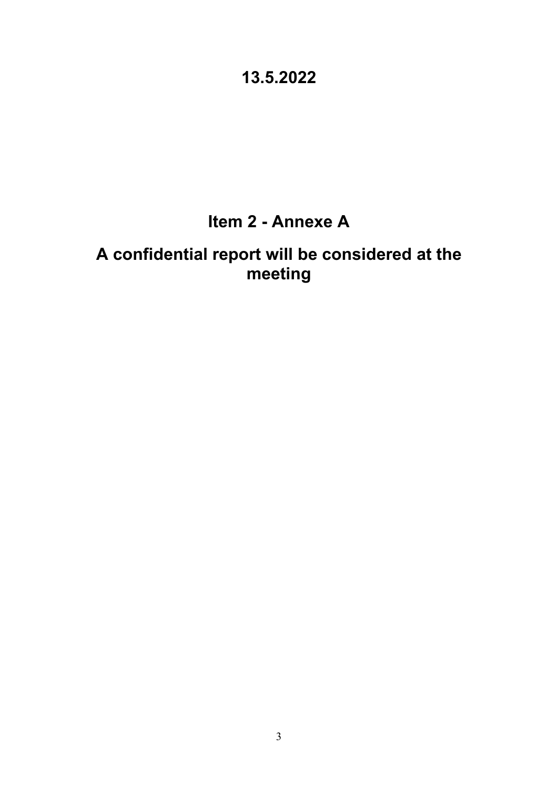# **Item 2 - Annexe A**

# **A confidential report will be considered at the meeting**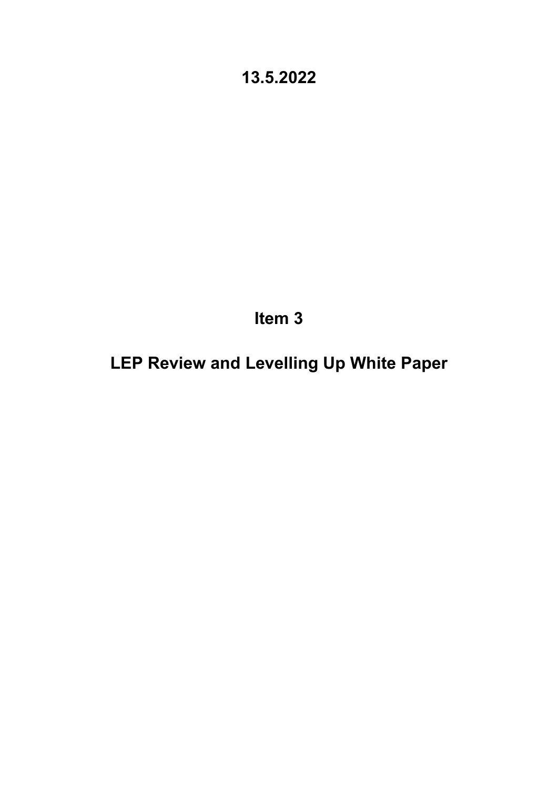**Item 3**

**LEP Review and Levelling Up White Paper**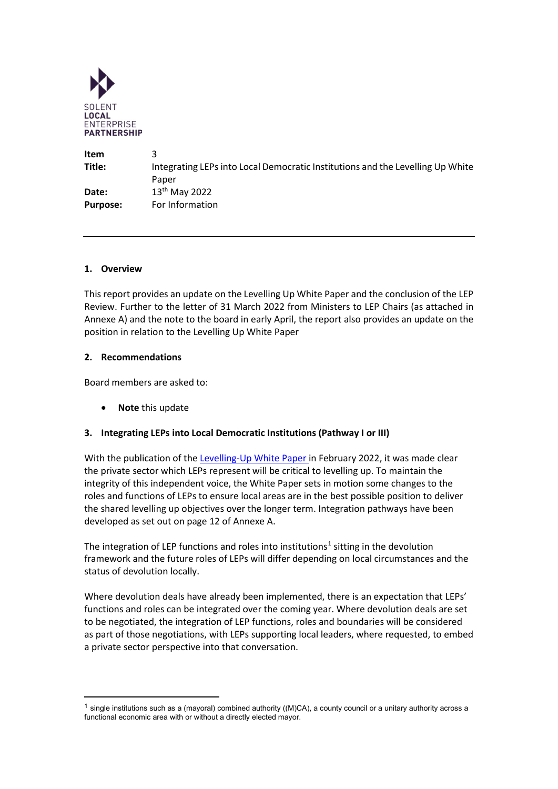

| Item            |                                                                                |
|-----------------|--------------------------------------------------------------------------------|
| Title:          | Integrating LEPs into Local Democratic Institutions and the Levelling Up White |
|                 | Paper                                                                          |
| Date:           | $13^{th}$ May 2022                                                             |
| <b>Purpose:</b> | For Information                                                                |

### **1. Overview**

This report provides an update on the Levelling Up White Paper and the conclusion of the LEP Review. Further to the letter of 31 March 2022 from Ministers to LEP Chairs (as attached in Annexe A) and the note to the board in early April, the report also provides an update on the position in relation to the Levelling Up White Paper

#### **2. Recommendations**

Board members are asked to:

• **Note** this update

### **3. Integrating LEPs into Local Democratic Institutions (Pathway I or III)**

With the publication of the [Levelling-Up White Paper](https://www.gov.uk/government/publications/levelling-up-the-united-kingdom) in February 2022, it was made clear the private sector which LEPs represent will be critical to levelling up. To maintain the integrity of this independent voice, the White Paper sets in motion some changes to the roles and functions of LEPs to ensure local areas are in the best possible position to deliver the shared levelling up objectives over the longer term. Integration pathways have been developed as set out on page 12 of Annexe A.

The integration of LEP functions and roles into institutions<sup>[1](#page-6-0)</sup> sitting in the devolution framework and the future roles of LEPs will differ depending on local circumstances and the status of devolution locally.

Where devolution deals have already been implemented, there is an expectation that LEPs' functions and roles can be integrated over the coming year. Where devolution deals are set to be negotiated, the integration of LEP functions, roles and boundaries will be considered as part of those negotiations, with LEPs supporting local leaders, where requested, to embed a private sector perspective into that conversation.

<span id="page-6-0"></span> $1$  single institutions such as a (mayoral) combined authority ((M)CA), a county council or a unitary authority across a functional economic area with or without a directly elected mayor.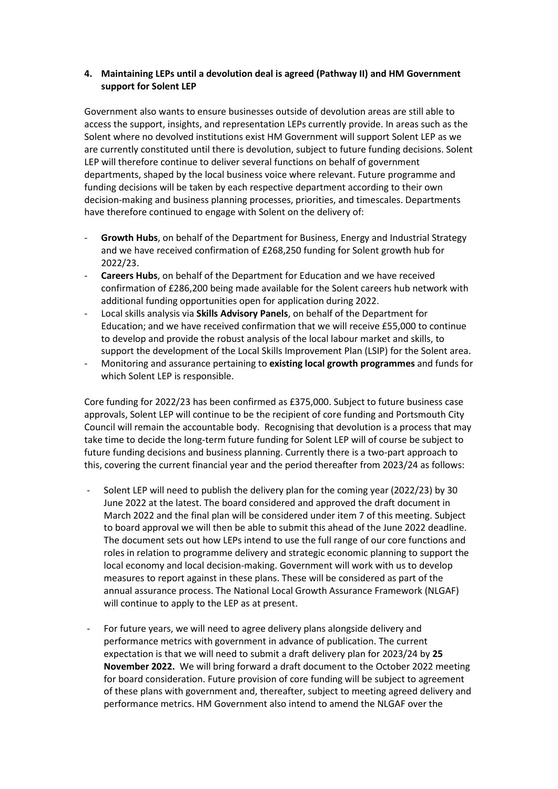### **4. Maintaining LEPs until a devolution deal is agreed (Pathway II) and HM Government support for Solent LEP**

Government also wants to ensure businesses outside of devolution areas are still able to access the support, insights, and representation LEPs currently provide. In areas such as the Solent where no devolved institutions exist HM Government will support Solent LEP as we are currently constituted until there is devolution, subject to future funding decisions. Solent LEP will therefore continue to deliver several functions on behalf of government departments, shaped by the local business voice where relevant. Future programme and funding decisions will be taken by each respective department according to their own decision-making and business planning processes, priorities, and timescales. Departments have therefore continued to engage with Solent on the delivery of:

- **Growth Hubs**, on behalf of the Department for Business, Energy and Industrial Strategy and we have received confirmation of £268,250 funding for Solent growth hub for 2022/23.
- **Careers Hubs**, on behalf of the Department for Education and we have received confirmation of £286,200 being made available for the Solent careers hub network with additional funding opportunities open for application during 2022.
- Local skills analysis via **Skills Advisory Panels**, on behalf of the Department for Education; and we have received confirmation that we will receive £55,000 to continue to develop and provide the robust analysis of the local labour market and skills, to support the development of the Local Skills Improvement Plan (LSIP) for the Solent area.
- Monitoring and assurance pertaining to **existing local growth programmes** and funds for which Solent LEP is responsible.

Core funding for 2022/23 has been confirmed as £375,000. Subject to future business case approvals, Solent LEP will continue to be the recipient of core funding and Portsmouth City Council will remain the accountable body. Recognising that devolution is a process that may take time to decide the long-term future funding for Solent LEP will of course be subject to future funding decisions and business planning. Currently there is a two-part approach to this, covering the current financial year and the period thereafter from 2023/24 as follows:

- Solent LEP will need to publish the delivery plan for the coming year (2022/23) by 30 June 2022 at the latest. The board considered and approved the draft document in March 2022 and the final plan will be considered under item 7 of this meeting. Subject to board approval we will then be able to submit this ahead of the June 2022 deadline. The document sets out how LEPs intend to use the full range of our core functions and roles in relation to programme delivery and strategic economic planning to support the local economy and local decision-making. Government will work with us to develop measures to report against in these plans. These will be considered as part of the annual assurance process. The National Local Growth Assurance Framework (NLGAF) will continue to apply to the LEP as at present.
- For future years, we will need to agree delivery plans alongside delivery and performance metrics with government in advance of publication. The current expectation is that we will need to submit a draft delivery plan for 2023/24 by **25 November 2022.** We will bring forward a draft document to the October 2022 meeting for board consideration. Future provision of core funding will be subject to agreement of these plans with government and, thereafter, subject to meeting agreed delivery and performance metrics. HM Government also intend to amend the NLGAF over the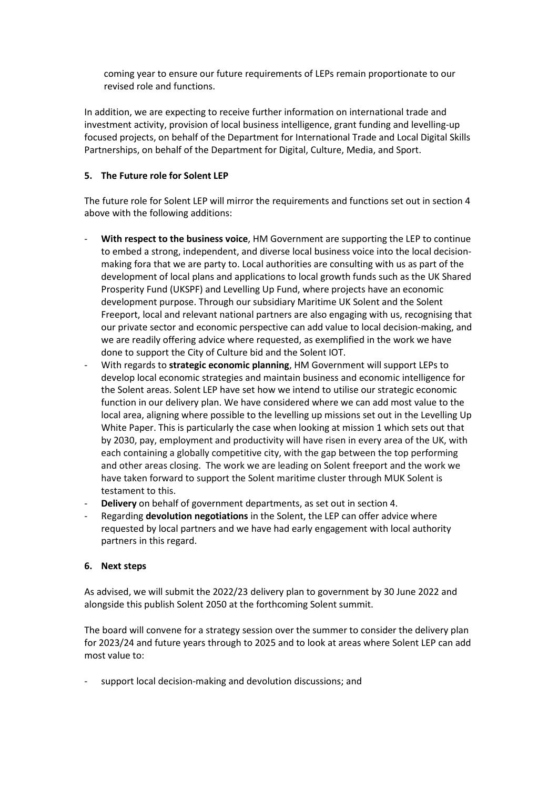coming year to ensure our future requirements of LEPs remain proportionate to our revised role and functions.

In addition, we are expecting to receive further information on international trade and investment activity, provision of local business intelligence, grant funding and levelling-up focused projects, on behalf of the Department for International Trade and Local Digital Skills Partnerships, on behalf of the Department for Digital, Culture, Media, and Sport.

### **5. The Future role for Solent LEP**

The future role for Solent LEP will mirror the requirements and functions set out in section 4 above with the following additions:

- **With respect to the business voice**, HM Government are supporting the LEP to continue to embed a strong, independent, and diverse local business voice into the local decisionmaking fora that we are party to. Local authorities are consulting with us as part of the development of local plans and applications to local growth funds such as the UK Shared Prosperity Fund (UKSPF) and Levelling Up Fund, where projects have an economic development purpose. Through our subsidiary Maritime UK Solent and the Solent Freeport, local and relevant national partners are also engaging with us, recognising that our private sector and economic perspective can add value to local decision-making, and we are readily offering advice where requested, as exemplified in the work we have done to support the City of Culture bid and the Solent IOT.
- With regards to **strategic economic planning**, HM Government will support LEPs to develop local economic strategies and maintain business and economic intelligence for the Solent areas. Solent LEP have set how we intend to utilise our strategic economic function in our delivery plan. We have considered where we can add most value to the local area, aligning where possible to the levelling up missions set out in the Levelling Up White Paper. This is particularly the case when looking at mission 1 which sets out that by 2030, pay, employment and productivity will have risen in every area of the UK, with each containing a globally competitive city, with the gap between the top performing and other areas closing. The work we are leading on Solent freeport and the work we have taken forward to support the Solent maritime cluster through MUK Solent is testament to this.
- **Delivery** on behalf of government departments, as set out in section 4.
- Regarding **devolution negotiations** in the Solent, the LEP can offer advice where requested by local partners and we have had early engagement with local authority partners in this regard.

### **6. Next steps**

As advised, we will submit the 2022/23 delivery plan to government by 30 June 2022 and alongside this publish Solent 2050 at the forthcoming Solent summit.

The board will convene for a strategy session over the summer to consider the delivery plan for 2023/24 and future years through to 2025 and to look at areas where Solent LEP can add most value to:

support local decision-making and devolution discussions; and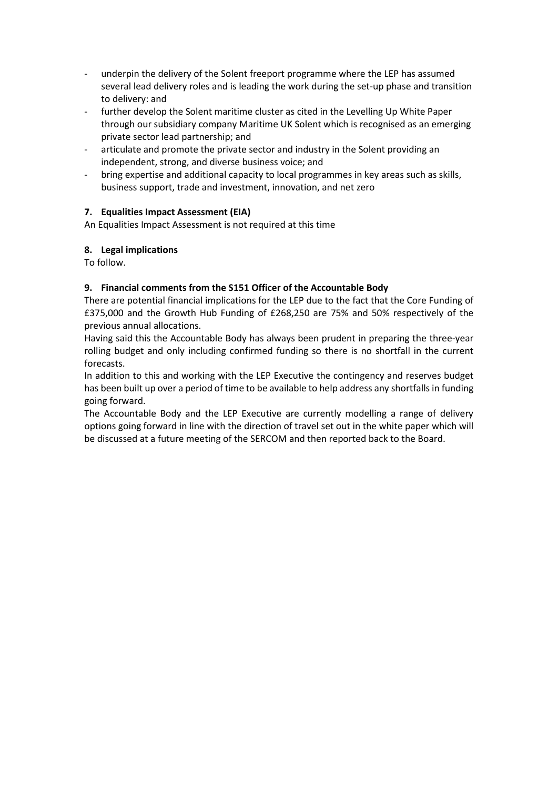- underpin the delivery of the Solent freeport programme where the LEP has assumed several lead delivery roles and is leading the work during the set-up phase and transition to delivery: and
- further develop the Solent maritime cluster as cited in the Levelling Up White Paper through our subsidiary company Maritime UK Solent which is recognised as an emerging private sector lead partnership; and
- articulate and promote the private sector and industry in the Solent providing an independent, strong, and diverse business voice; and
- bring expertise and additional capacity to local programmes in key areas such as skills, business support, trade and investment, innovation, and net zero

### **7. Equalities Impact Assessment (EIA)**

An Equalities Impact Assessment is not required at this time

### **8. Legal implications**

To follow.

### **9. Financial comments from the S151 Officer of the Accountable Body**

There are potential financial implications for the LEP due to the fact that the Core Funding of £375,000 and the Growth Hub Funding of £268,250 are 75% and 50% respectively of the previous annual allocations.

Having said this the Accountable Body has always been prudent in preparing the three-year rolling budget and only including confirmed funding so there is no shortfall in the current forecasts.

In addition to this and working with the LEP Executive the contingency and reserves budget has been built up over a period of time to be available to help address any shortfalls in funding going forward.

The Accountable Body and the LEP Executive are currently modelling a range of delivery options going forward in line with the direction of travel set out in the white paper which will be discussed at a future meeting of the SERCOM and then reported back to the Board.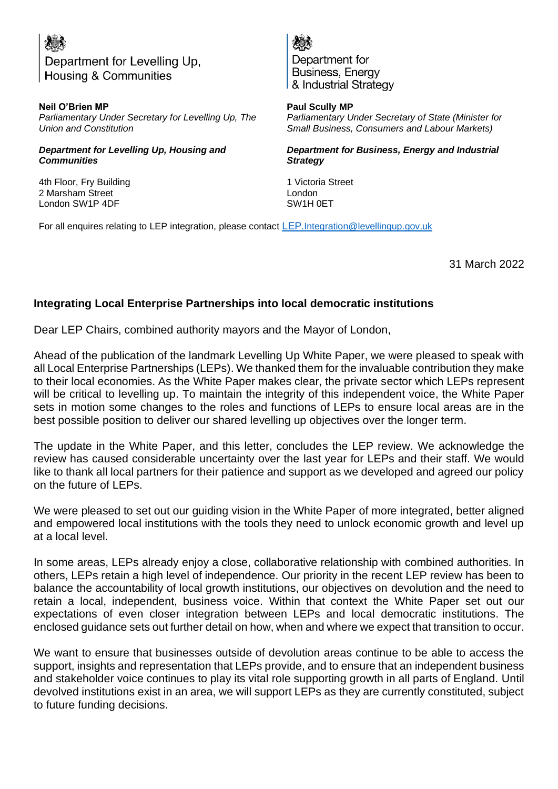# Department for Levelling Up, **Housing & Communities**

**Neil O'Brien MP** *Parliamentary Under Secretary for Levelling Up, The Union and Constitution* 

### *Department for Levelling Up, Housing and Communities*

4th Floor, Fry Building 2 Marsham Street London SW1P 4DF

Department for Business, Energy & Industrial Strategy

**Paul Scully MP** *Parliamentary Under Secretary of State (Minister for Small Business, Consumers and Labour Markets)* 

*Department for Business, Energy and Industrial Strategy*

1 Victoria Street London SW1H 0ET

For all enquires relating to [LEP](mailto:LEP.Integration@levellingup.gov.uk) integration, please contact LEP[.Integration@levellingup.gov.uk](mailto:LEP.Integration@levellingup.gov.uk)

31 March 2022

### **Integrating Local Enterprise Partnerships into local democratic institutions**

Dear LEP Chairs, combined authority mayors and the Mayor of London,

Ahead of the publication of the landmark Levelling Up White Paper, we were pleased to speak with all Local Enterprise Partnerships (LEPs). We thanked them for the invaluable contribution they make to their local economies. As the White Paper makes clear, the private sector which LEPs represent will be critical to levelling up. To maintain the integrity of this independent voice, the White Paper sets in motion some changes to the roles and functions of LEPs to ensure local areas are in the best possible position to deliver our shared levelling up objectives over the longer term.

The update in the White Paper, and this letter, concludes the LEP review. We acknowledge the review has caused considerable uncertainty over the last year for LEPs and their staff. We would like to thank all local partners for their patience and support as we developed and agreed our policy on the future of LEPs.

We were pleased to set out our guiding vision in the White Paper of more integrated, better aligned and empowered local institutions with the tools they need to unlock economic growth and level up at a local level.

In some areas, LEPs already enjoy a close, collaborative relationship with combined authorities. In others, LEPs retain a high level of independence. Our priority in the recent LEP review has been to balance the accountability of local growth institutions, our objectives on devolution and the need to retain a local, independent, business voice. Within that context the White Paper set out our expectations of even closer integration between LEPs and local democratic institutions. The enclosed guidance sets out further detail on how, when and where we expect that transition to occur.

We want to ensure that businesses outside of devolution areas continue to be able to access the support, insights and representation that LEPs provide, and to ensure that an independent business and stakeholder voice continues to play its vital role supporting growth in all parts of England. Until devolved institutions exist in an area, we will support LEPs as they are currently constituted, subject to future funding decisions.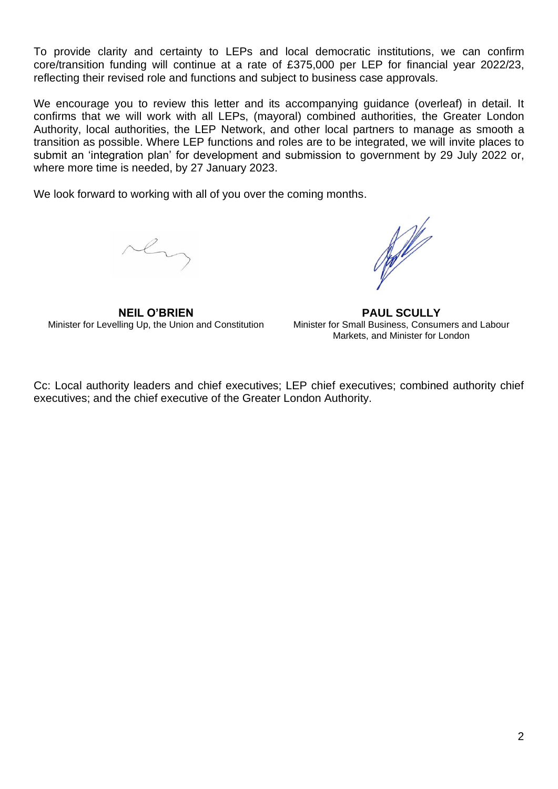To provide clarity and certainty to LEPs and local democratic institutions, we can confirm core/transition funding will continue at a rate of £375,000 per LEP for financial year 2022/23, reflecting their revised role and functions and subject to business case approvals.

We encourage you to review this letter and its accompanying guidance (overleaf) in detail. It confirms that we will work with all LEPs, (mayoral) combined authorities, the Greater London Authority, local authorities, the LEP Network, and other local partners to manage as smooth a transition as possible. Where LEP functions and roles are to be integrated, we will invite places to submit an 'integration plan' for development and submission to government by 29 July 2022 or, where more time is needed, by 27 January 2023.

We look forward to working with all of you over the coming months.

rh

**NEIL O'BRIEN** Minister for Levelling Up, the Union and Constitution

Not de la

**PAUL SCULLY** Minister for Small Business, Consumers and Labour Markets, and Minister for London

Cc: Local authority leaders and chief executives; LEP chief executives; combined authority chief executives; and the chief executive of the Greater London Authority.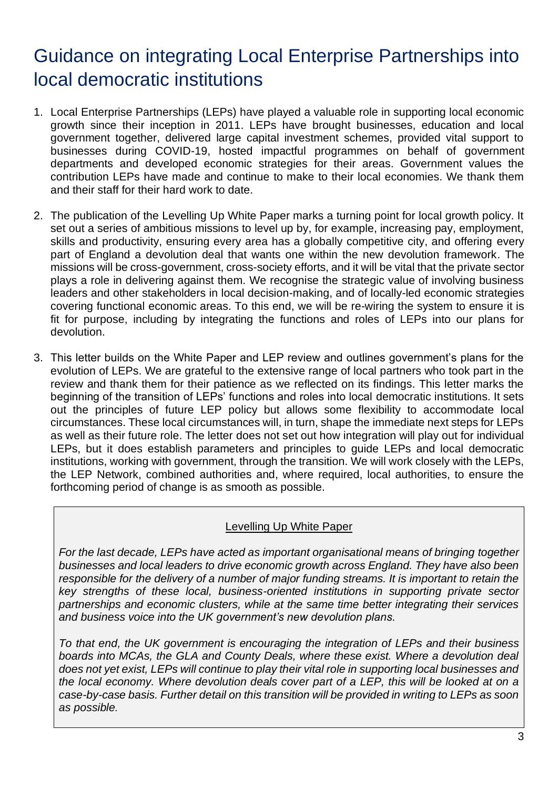# Guidance on integrating Local Enterprise Partnerships into local democratic institutions

- 1. Local Enterprise Partnerships (LEPs) have played a valuable role in supporting local economic growth since their inception in 2011. LEPs have brought businesses, education and local government together, delivered large capital investment schemes, provided vital support to businesses during COVID-19, hosted impactful programmes on behalf of government departments and developed economic strategies for their areas. Government values the contribution LEPs have made and continue to make to their local economies. We thank them and their staff for their hard work to date.
- 2. The publication of the Levelling Up White Paper marks a turning point for local growth policy. It set out a series of ambitious missions to level up by, for example, increasing pay, employment, skills and productivity, ensuring every area has a globally competitive city, and offering every part of England a devolution deal that wants one within the new devolution framework. The missions will be cross-government, cross-society efforts, and it will be vital that the private sector plays a role in delivering against them. We recognise the strategic value of involving business leaders and other stakeholders in local decision-making, and of locally-led economic strategies covering functional economic areas. To this end, we will be re-wiring the system to ensure it is fit for purpose, including by integrating the functions and roles of LEPs into our plans for devolution.
- 3. This letter builds on the White Paper and LEP review and outlines government's plans for the evolution of LEPs. We are grateful to the extensive range of local partners who took part in the review and thank them for their patience as we reflected on its findings. This letter marks the beginning of the transition of LEPs' functions and roles into local democratic institutions. It sets out the principles of future LEP policy but allows some flexibility to accommodate local circumstances. These local circumstances will, in turn, shape the immediate next steps for LEPs as well as their future role. The letter does not set out how integration will play out for individual LEPs, but it does establish parameters and principles to guide LEPs and local democratic institutions, working with government, through the transition. We will work closely with the LEPs, the LEP Network, combined authorities and, where required, local authorities, to ensure the forthcoming period of change is as smooth as possible.

### Levelling Up White Paper

*For the last decade, LEPs have acted as important organisational means of bringing together businesses and local leaders to drive economic growth across England. They have also been*  responsible for the delivery of a number of major funding streams. It is important to retain the *key strengths of these local, business-oriented institutions in supporting private sector partnerships and economic clusters, while at the same time better integrating their services and business voice into the UK government's new devolution plans.* 

*To that end, the UK government is encouraging the integration of LEPs and their business*  boards into MCAs, the GLA and County Deals, where these exist. Where a devolution deal *does not yet exist, LEPs will continue to play their vital role in supporting local businesses and the local economy. Where devolution deals cover part of a LEP, this will be looked at on a case-by-case basis. Further detail on this transition will be provided in writing to LEPs as soon as possible.*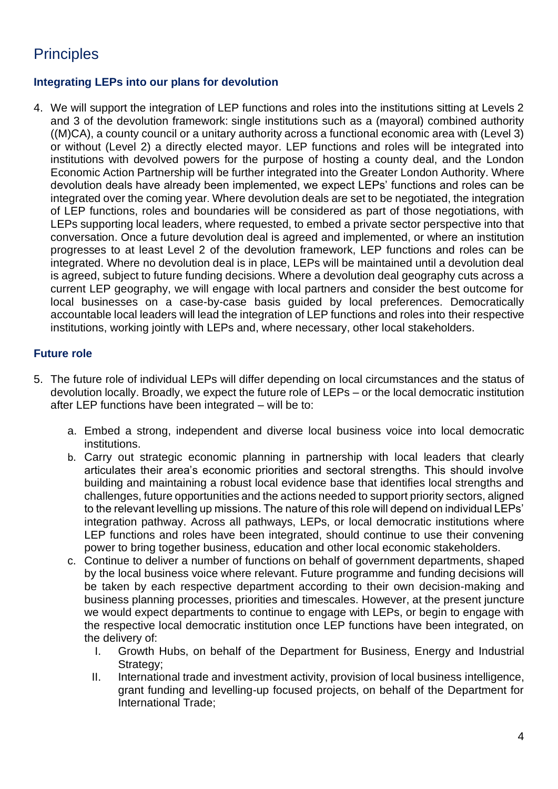# **Principles**

### **Integrating LEPs into our plans for devolution**

4. We will support the integration of LEP functions and roles into the institutions sitting at Levels 2 and 3 of the devolution framework: single institutions such as a (mayoral) combined authority ((M)CA), a county council or a unitary authority across a functional economic area with (Level 3) or without (Level 2) a directly elected mayor. LEP functions and roles will be integrated into institutions with devolved powers for the purpose of hosting a county deal, and the London Economic Action Partnership will be further integrated into the Greater London Authority. Where devolution deals have already been implemented, we expect LEPs' functions and roles can be integrated over the coming year. Where devolution deals are set to be negotiated, the integration of LEP functions, roles and boundaries will be considered as part of those negotiations, with LEPs supporting local leaders, where requested, to embed a private sector perspective into that conversation. Once a future devolution deal is agreed and implemented, or where an institution progresses to at least Level 2 of the devolution framework, LEP functions and roles can be integrated. Where no devolution deal is in place, LEPs will be maintained until a devolution deal is agreed, subject to future funding decisions. Where a devolution deal geography cuts across a current LEP geography, we will engage with local partners and consider the best outcome for local businesses on a case-by-case basis guided by local preferences. Democratically accountable local leaders will lead the integration of LEP functions and roles into their respective institutions, working jointly with LEPs and, where necessary, other local stakeholders.

### **Future role**

- 5. The future role of individual LEPs will differ depending on local circumstances and the status of devolution locally. Broadly, we expect the future role of LEPs – or the local democratic institution after LEP functions have been integrated – will be to:
	- a. Embed a strong, independent and diverse local business voice into local democratic institutions.
	- b. Carry out strategic economic planning in partnership with local leaders that clearly articulates their area's economic priorities and sectoral strengths. This should involve building and maintaining a robust local evidence base that identifies local strengths and challenges, future opportunities and the actions needed to support priority sectors, aligned to the relevant levelling up missions. The nature of this role will depend on individual LEPs' integration pathway. Across all pathways, LEPs, or local democratic institutions where LEP functions and roles have been integrated, should continue to use their convening power to bring together business, education and other local economic stakeholders.
	- c. Continue to deliver a number of functions on behalf of government departments, shaped by the local business voice where relevant. Future programme and funding decisions will be taken by each respective department according to their own decision-making and business planning processes, priorities and timescales. However, at the present juncture we would expect departments to continue to engage with LEPs, or begin to engage with the respective local democratic institution once LEP functions have been integrated, on the delivery of:
		- I. Growth Hubs, on behalf of the Department for Business, Energy and Industrial Strategy:
		- II. International trade and investment activity, provision of local business intelligence, grant funding and levelling-up focused projects, on behalf of the Department for International Trade;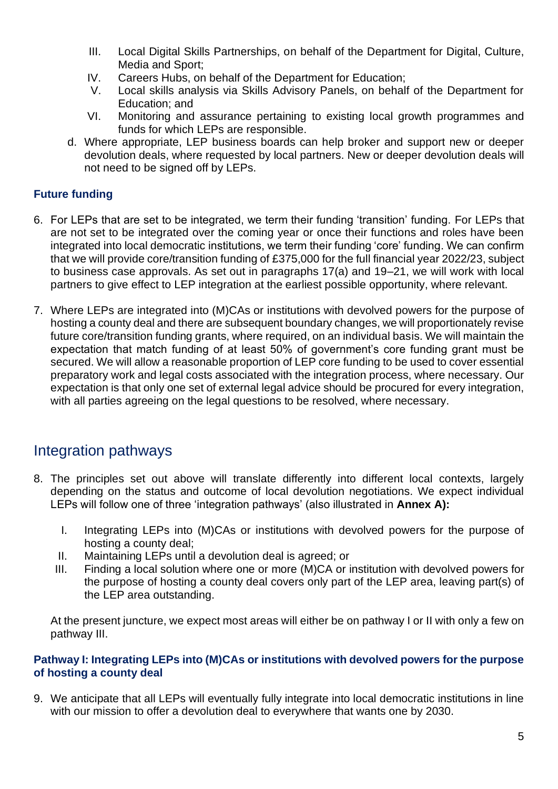- III. Local Digital Skills Partnerships, on behalf of the Department for Digital, Culture, Media and Sport;
- IV. Careers Hubs, on behalf of the Department for Education;
- V. Local skills analysis via Skills Advisory Panels, on behalf of the Department for Education; and
- VI. Monitoring and assurance pertaining to existing local growth programmes and funds for which LEPs are responsible.
- d. Where appropriate, LEP business boards can help broker and support new or deeper devolution deals, where requested by local partners. New or deeper devolution deals will not need to be signed off by LEPs.

### **Future funding**

- 6. For LEPs that are set to be integrated, we term their funding 'transition' funding. For LEPs that are not set to be integrated over the coming year or once their functions and roles have been integrated into local democratic institutions, we term their funding 'core' funding. We can confirm that we will provide core/transition funding of £375,000 for the full financial year 2022/23, subject to business case approvals. As set out in paragraphs 17(a) and 19–21, we will work with local partners to give effect to LEP integration at the earliest possible opportunity, where relevant.
- 7. Where LEPs are integrated into (M)CAs or institutions with devolved powers for the purpose of hosting a county deal and there are subsequent boundary changes, we will proportionately revise future core/transition funding grants, where required, on an individual basis. We will maintain the expectation that match funding of at least 50% of government's core funding grant must be secured. We will allow a reasonable proportion of LEP core funding to be used to cover essential preparatory work and legal costs associated with the integration process, where necessary. Our expectation is that only one set of external legal advice should be procured for every integration, with all parties agreeing on the legal questions to be resolved, where necessary.

### Integration pathways

- 8. The principles set out above will translate differently into different local contexts, largely depending on the status and outcome of local devolution negotiations. We expect individual LEPs will follow one of three 'integration pathways' (also illustrated in **Annex A):**
	- I. Integrating LEPs into (M)CAs or institutions with devolved powers for the purpose of hosting a county deal;
	- II. Maintaining LEPs until a devolution deal is agreed; or
	- III. Finding a local solution where one or more (M)CA or institution with devolved powers for the purpose of hosting a county deal covers only part of the LEP area, leaving part(s) of the LEP area outstanding.

At the present juncture, we expect most areas will either be on pathway I or II with only a few on pathway III.

### **Pathway I: Integrating LEPs into (M)CAs or institutions with devolved powers for the purpose of hosting a county deal**

9. We anticipate that all LEPs will eventually fully integrate into local democratic institutions in line with our mission to offer a devolution deal to everywhere that wants one by 2030.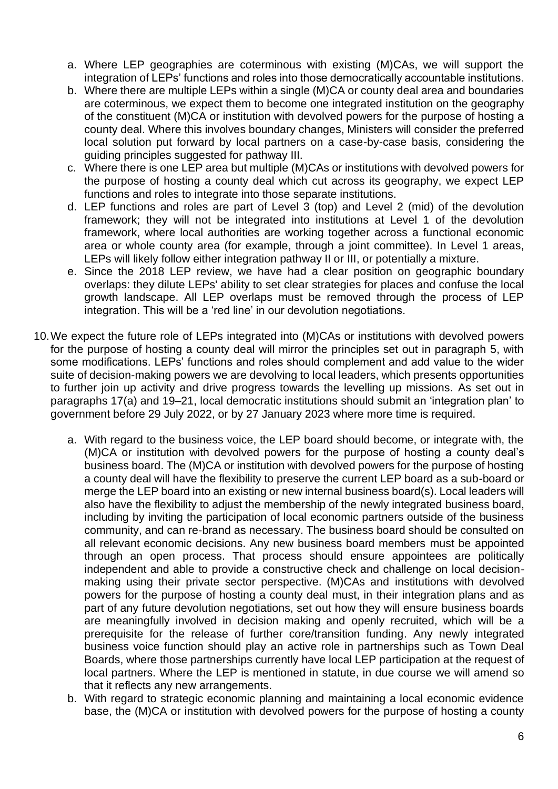- a. Where LEP geographies are coterminous with existing (M)CAs, we will support the integration of LEPs' functions and roles into those democratically accountable institutions.
- b. Where there are multiple LEPs within a single (M)CA or county deal area and boundaries are coterminous, we expect them to become one integrated institution on the geography of the constituent (M)CA or institution with devolved powers for the purpose of hosting a county deal. Where this involves boundary changes, Ministers will consider the preferred local solution put forward by local partners on a case-by-case basis, considering the guiding principles suggested for pathway III.
- c. Where there is one LEP area but multiple (M)CAs or institutions with devolved powers for the purpose of hosting a county deal which cut across its geography, we expect LEP functions and roles to integrate into those separate institutions.
- d. LEP functions and roles are part of Level 3 (top) and Level 2 (mid) of the devolution framework; they will not be integrated into institutions at Level 1 of the devolution framework, where local authorities are working together across a functional economic area or whole county area (for example, through a joint committee). In Level 1 areas, LEPs will likely follow either integration pathway II or III, or potentially a mixture.
- e. Since the 2018 LEP review, we have had a clear position on geographic boundary overlaps: they dilute LEPs' ability to set clear strategies for places and confuse the local growth landscape. All LEP overlaps must be removed through the process of LEP integration. This will be a 'red line' in our devolution negotiations.
- 10.We expect the future role of LEPs integrated into (M)CAs or institutions with devolved powers for the purpose of hosting a county deal will mirror the principles set out in paragraph 5, with some modifications. LEPs' functions and roles should complement and add value to the wider suite of decision-making powers we are devolving to local leaders, which presents opportunities to further join up activity and drive progress towards the levelling up missions. As set out in paragraphs 17(a) and 19–21, local democratic institutions should submit an 'integration plan' to government before 29 July 2022, or by 27 January 2023 where more time is required.
	- a. With regard to the business voice, the LEP board should become, or integrate with, the (M)CA or institution with devolved powers for the purpose of hosting a county deal's business board. The (M)CA or institution with devolved powers for the purpose of hosting a county deal will have the flexibility to preserve the current LEP board as a sub-board or merge the LEP board into an existing or new internal business board(s). Local leaders will also have the flexibility to adjust the membership of the newly integrated business board, including by inviting the participation of local economic partners outside of the business community, and can re-brand as necessary. The business board should be consulted on all relevant economic decisions. Any new business board members must be appointed through an open process. That process should ensure appointees are politically independent and able to provide a constructive check and challenge on local decisionmaking using their private sector perspective. (M)CAs and institutions with devolved powers for the purpose of hosting a county deal must, in their integration plans and as part of any future devolution negotiations, set out how they will ensure business boards are meaningfully involved in decision making and openly recruited, which will be a prerequisite for the release of further core/transition funding. Any newly integrated business voice function should play an active role in partnerships such as Town Deal Boards, where those partnerships currently have local LEP participation at the request of local partners. Where the LEP is mentioned in statute, in due course we will amend so that it reflects any new arrangements.
	- b. With regard to strategic economic planning and maintaining a local economic evidence base, the (M)CA or institution with devolved powers for the purpose of hosting a county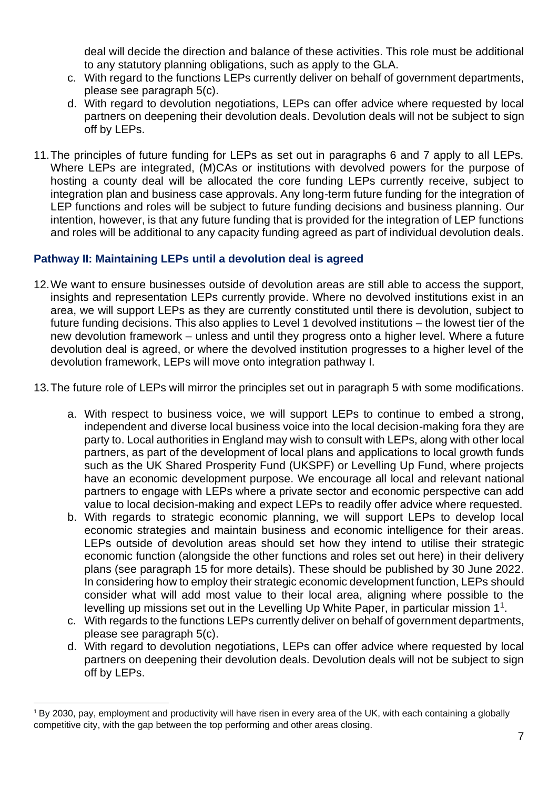deal will decide the direction and balance of these activities. This role must be additional to any statutory planning obligations, such as apply to the GLA.

- c. With regard to the functions LEPs currently deliver on behalf of government departments, please see paragraph 5(c).
- d. With regard to devolution negotiations, LEPs can offer advice where requested by local partners on deepening their devolution deals. Devolution deals will not be subject to sign off by LEPs.
- 11.The principles of future funding for LEPs as set out in paragraphs 6 and 7 apply to all LEPs. Where LEPs are integrated, (M)CAs or institutions with devolved powers for the purpose of hosting a county deal will be allocated the core funding LEPs currently receive, subject to integration plan and business case approvals. Any long-term future funding for the integration of LEP functions and roles will be subject to future funding decisions and business planning. Our intention, however, is that any future funding that is provided for the integration of LEP functions and roles will be additional to any capacity funding agreed as part of individual devolution deals.

### **Pathway II: Maintaining LEPs until a devolution deal is agreed**

- 12.We want to ensure businesses outside of devolution areas are still able to access the support, insights and representation LEPs currently provide. Where no devolved institutions exist in an area, we will support LEPs as they are currently constituted until there is devolution, subject to future funding decisions. This also applies to Level 1 devolved institutions – the lowest tier of the new devolution framework – unless and until they progress onto a higher level. Where a future devolution deal is agreed, or where the devolved institution progresses to a higher level of the devolution framework, LEPs will move onto integration pathway I.
- 13.The future role of LEPs will mirror the principles set out in paragraph 5 with some modifications.
	- a. With respect to business voice, we will support LEPs to continue to embed a strong, independent and diverse local business voice into the local decision-making fora they are party to. Local authorities in England may wish to consult with LEPs, along with other local partners, as part of the development of local plans and applications to local growth funds such as the UK Shared Prosperity Fund (UKSPF) or Levelling Up Fund, where projects have an economic development purpose. We encourage all local and relevant national partners to engage with LEPs where a private sector and economic perspective can add value to local decision-making and expect LEPs to readily offer advice where requested.
	- b. With regards to strategic economic planning, we will support LEPs to develop local economic strategies and maintain business and economic intelligence for their areas. LEPs outside of devolution areas should set how they intend to utilise their strategic economic function (alongside the other functions and roles set out here) in their delivery plans (see paragraph 15 for more details). These should be published by 30 June 2022. In considering how to employ their strategic economic development function, LEPs should consider what will add most value to their local area, aligning where possible to the levelling up missions set out in the Levelling Up White Paper, in particular mission  $1<sup>1</sup>$ .
	- c. With regards to the functions LEPs currently deliver on behalf of government departments, please see paragraph 5(c).
	- d. With regard to devolution negotiations, LEPs can offer advice where requested by local partners on deepening their devolution deals. Devolution deals will not be subject to sign off by LEPs.

<sup>1</sup> By 2030, pay, employment and productivity will have risen in every area of the UK, with each containing a globally competitive city, with the gap between the top performing and other areas closing.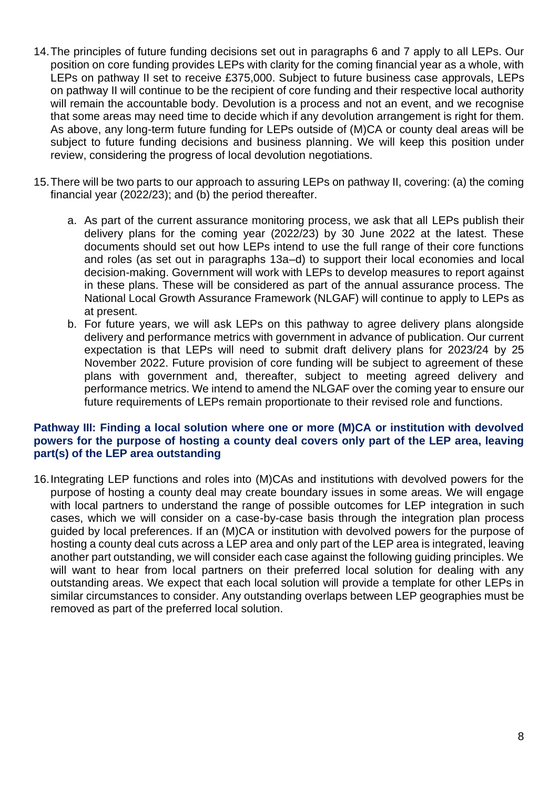- 14.The principles of future funding decisions set out in paragraphs 6 and 7 apply to all LEPs. Our position on core funding provides LEPs with clarity for the coming financial year as a whole, with LEPs on pathway II set to receive £375,000. Subject to future business case approvals, LEPs on pathway II will continue to be the recipient of core funding and their respective local authority will remain the accountable body. Devolution is a process and not an event, and we recognise that some areas may need time to decide which if any devolution arrangement is right for them. As above, any long-term future funding for LEPs outside of (M)CA or county deal areas will be subject to future funding decisions and business planning. We will keep this position under review, considering the progress of local devolution negotiations.
- 15.There will be two parts to our approach to assuring LEPs on pathway II, covering: (a) the coming financial year (2022/23); and (b) the period thereafter.
	- a. As part of the current assurance monitoring process, we ask that all LEPs publish their delivery plans for the coming year (2022/23) by 30 June 2022 at the latest. These documents should set out how LEPs intend to use the full range of their core functions and roles (as set out in paragraphs 13a–d) to support their local economies and local decision-making. Government will work with LEPs to develop measures to report against in these plans. These will be considered as part of the annual assurance process. The National Local Growth Assurance Framework (NLGAF) will continue to apply to LEPs as at present.
	- b. For future years, we will ask LEPs on this pathway to agree delivery plans alongside delivery and performance metrics with government in advance of publication. Our current expectation is that LEPs will need to submit draft delivery plans for 2023/24 by 25 November 2022. Future provision of core funding will be subject to agreement of these plans with government and, thereafter, subject to meeting agreed delivery and performance metrics. We intend to amend the NLGAF over the coming year to ensure our future requirements of LEPs remain proportionate to their revised role and functions.

### **Pathway III: Finding a local solution where one or more (M)CA or institution with devolved powers for the purpose of hosting a county deal covers only part of the LEP area, leaving part(s) of the LEP area outstanding**

16.Integrating LEP functions and roles into (M)CAs and institutions with devolved powers for the purpose of hosting a county deal may create boundary issues in some areas. We will engage with local partners to understand the range of possible outcomes for LEP integration in such cases, which we will consider on a case-by-case basis through the integration plan process guided by local preferences. If an (M)CA or institution with devolved powers for the purpose of hosting a county deal cuts across a LEP area and only part of the LEP area is integrated, leaving another part outstanding, we will consider each case against the following guiding principles. We will want to hear from local partners on their preferred local solution for dealing with any outstanding areas. We expect that each local solution will provide a template for other LEPs in similar circumstances to consider. Any outstanding overlaps between LEP geographies must be removed as part of the preferred local solution.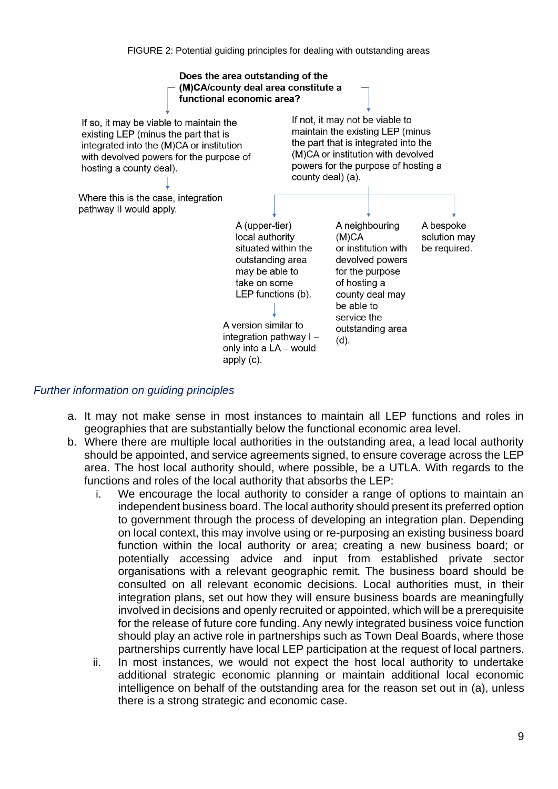

### *Further information on guiding principles*

- a. It may not make sense in most instances to maintain all LEP functions and roles in geographies that are substantially below the functional economic area level.
- b. Where there are multiple local authorities in the outstanding area, a lead local authority should be appointed, and service agreements signed, to ensure coverage across the LEP area. The host local authority should, where possible, be a UTLA. With regards to the functions and roles of the local authority that absorbs the LEP:
	- i. We encourage the local authority to consider a range of options to maintain an independent business board. The local authority should present its preferred option to government through the process of developing an integration plan. Depending on local context, this may involve using or re-purposing an existing business board function within the local authority or area; creating a new business board; or potentially accessing advice and input from established private sector organisations with a relevant geographic remit. The business board should be consulted on all relevant economic decisions. Local authorities must, in their integration plans, set out how they will ensure business boards are meaningfully involved in decisions and openly recruited or appointed, which will be a prerequisite for the release of future core funding. Any newly integrated business voice function should play an active role in partnerships such as Town Deal Boards, where those partnerships currently have local LEP participation at the request of local partners.
	- ii. In most instances, we would not expect the host local authority to undertake additional strategic economic planning or maintain additional local economic intelligence on behalf of the outstanding area for the reason set out in (a), unless there is a strong strategic and economic case.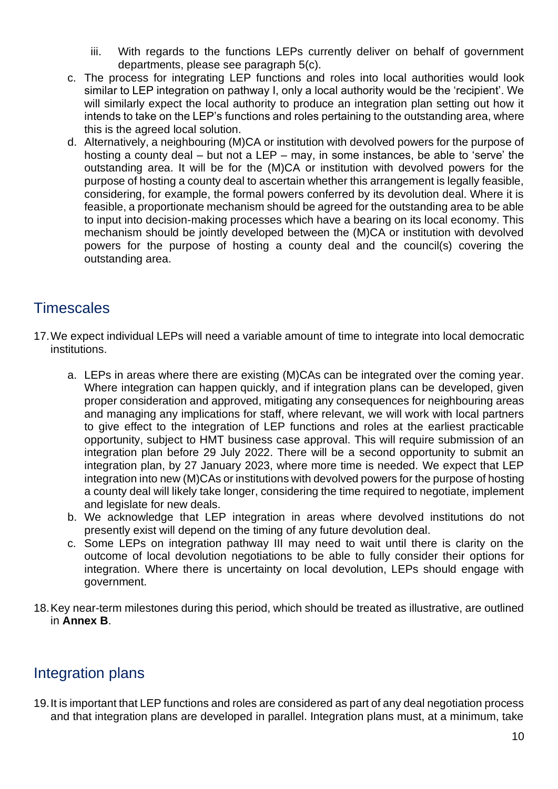- iii. With regards to the functions LEPs currently deliver on behalf of government departments, please see paragraph 5(c).
- c. The process for integrating LEP functions and roles into local authorities would look similar to LEP integration on pathway I, only a local authority would be the 'recipient'. We will similarly expect the local authority to produce an integration plan setting out how it intends to take on the LEP's functions and roles pertaining to the outstanding area, where this is the agreed local solution.
- d. Alternatively, a neighbouring (M)CA or institution with devolved powers for the purpose of hosting a county deal – but not a LEP – may, in some instances, be able to 'serve' the outstanding area. It will be for the (M)CA or institution with devolved powers for the purpose of hosting a county deal to ascertain whether this arrangement is legally feasible, considering, for example, the formal powers conferred by its devolution deal. Where it is feasible, a proportionate mechanism should be agreed for the outstanding area to be able to input into decision-making processes which have a bearing on its local economy. This mechanism should be jointly developed between the (M)CA or institution with devolved powers for the purpose of hosting a county deal and the council(s) covering the outstanding area.

## **Timescales**

- 17.We expect individual LEPs will need a variable amount of time to integrate into local democratic institutions.
	- a. LEPs in areas where there are existing (M)CAs can be integrated over the coming year. Where integration can happen quickly, and if integration plans can be developed, given proper consideration and approved, mitigating any consequences for neighbouring areas and managing any implications for staff, where relevant, we will work with local partners to give effect to the integration of LEP functions and roles at the earliest practicable opportunity, subject to HMT business case approval. This will require submission of an integration plan before 29 July 2022. There will be a second opportunity to submit an integration plan, by 27 January 2023, where more time is needed. We expect that LEP integration into new (M)CAs or institutions with devolved powers for the purpose of hosting a county deal will likely take longer, considering the time required to negotiate, implement and legislate for new deals.
	- b. We acknowledge that LEP integration in areas where devolved institutions do not presently exist will depend on the timing of any future devolution deal.
	- c. Some LEPs on integration pathway III may need to wait until there is clarity on the outcome of local devolution negotiations to be able to fully consider their options for integration. Where there is uncertainty on local devolution, LEPs should engage with government.
- 18.Key near-term milestones during this period, which should be treated as illustrative, are outlined in **Annex B**.

### Integration plans

19.It is important that LEP functions and roles are considered as part of any deal negotiation process and that integration plans are developed in parallel. Integration plans must, at a minimum, take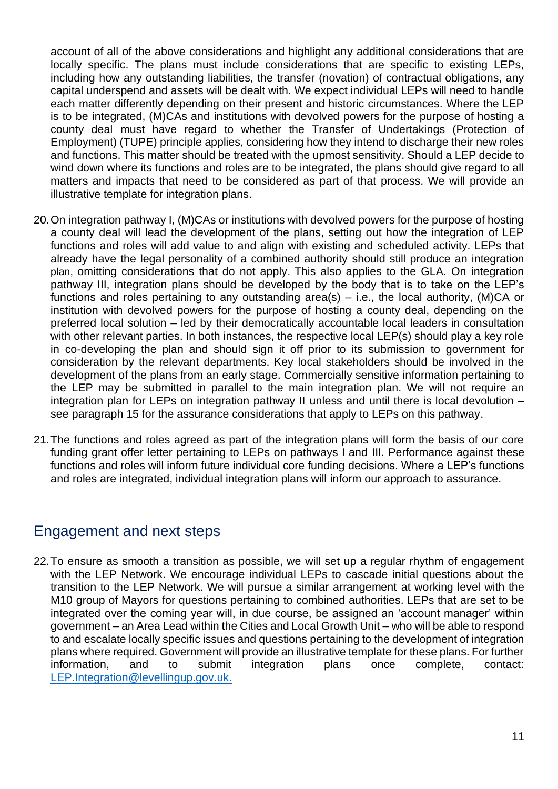account of all of the above considerations and highlight any additional considerations that are locally specific. The plans must include considerations that are specific to existing LEPs, including how any outstanding liabilities, the transfer (novation) of contractual obligations, any capital underspend and assets will be dealt with. We expect individual LEPs will need to handle each matter differently depending on their present and historic circumstances. Where the LEP is to be integrated, (M)CAs and institutions with devolved powers for the purpose of hosting a county deal must have regard to whether the Transfer of Undertakings (Protection of Employment) (TUPE) principle applies, considering how they intend to discharge their new roles and functions. This matter should be treated with the upmost sensitivity. Should a LEP decide to wind down where its functions and roles are to be integrated, the plans should give regard to all matters and impacts that need to be considered as part of that process. We will provide an illustrative template for integration plans.

- 20.On integration pathway I, (M)CAs or institutions with devolved powers for the purpose of hosting a county deal will lead the development of the plans, setting out how the integration of LEP functions and roles will add value to and align with existing and scheduled activity. LEPs that already have the legal personality of a combined authority should still produce an integration plan, omitting considerations that do not apply. This also applies to the GLA. On integration pathway III, integration plans should be developed by the body that is to take on the LEP's functions and roles pertaining to any outstanding area(s) – i.e., the local authority, (M)CA or institution with devolved powers for the purpose of hosting a county deal, depending on the preferred local solution – led by their democratically accountable local leaders in consultation with other relevant parties. In both instances, the respective local LEP(s) should play a key role in co-developing the plan and should sign it off prior to its submission to government for consideration by the relevant departments. Key local stakeholders should be involved in the development of the plans from an early stage. Commercially sensitive information pertaining to the LEP may be submitted in parallel to the main integration plan. We will not require an integration plan for LEPs on integration pathway II unless and until there is local devolution – see paragraph 15 for the assurance considerations that apply to LEPs on this pathway.
- 21.The functions and roles agreed as part of the integration plans will form the basis of our core funding grant offer letter pertaining to LEPs on pathways I and III. Performance against these functions and roles will inform future individual core funding decisions. Where a LEP's functions and roles are integrated, individual integration plans will inform our approach to assurance.

### Engagement and next steps

22.To ensure as smooth a transition as possible, we will set up a regular rhythm of engagement with the LEP Network. We encourage individual LEPs to cascade initial questions about the transition to the LEP Network. We will pursue a similar arrangement at working level with the M10 group of Mayors for questions pertaining to combined authorities. LEPs that are set to be integrated over the coming year will, in due course, be assigned an 'account manager' within government – an Area Lead within the Cities and Local Growth Unit – who will be able to respond to and escalate locally specific issues and questions pertaining to the development of integration plans where required. Government will provide an illustrative template for these plans. For further information, and to submit integration plans once complete, contact: [LEP.Integration@levellingup.gov.uk.](mailto:LEP.Integration@levellingup.gov.uk)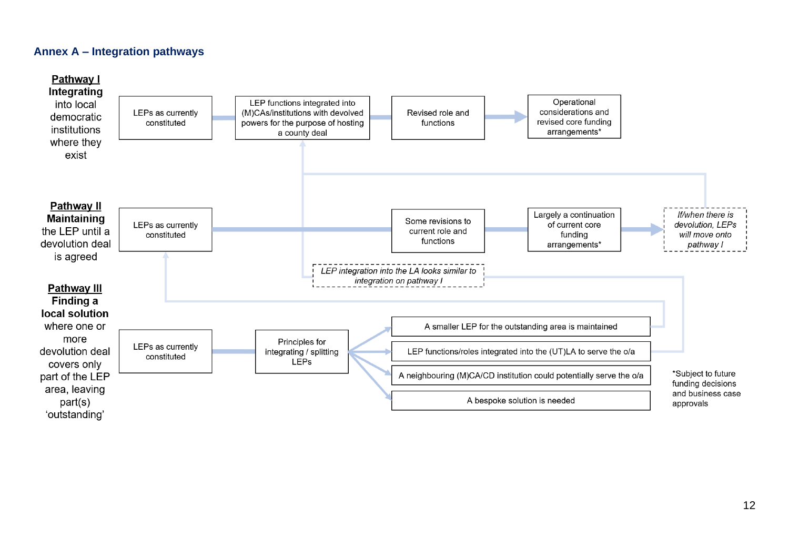### **Annex A – Integration pathways**

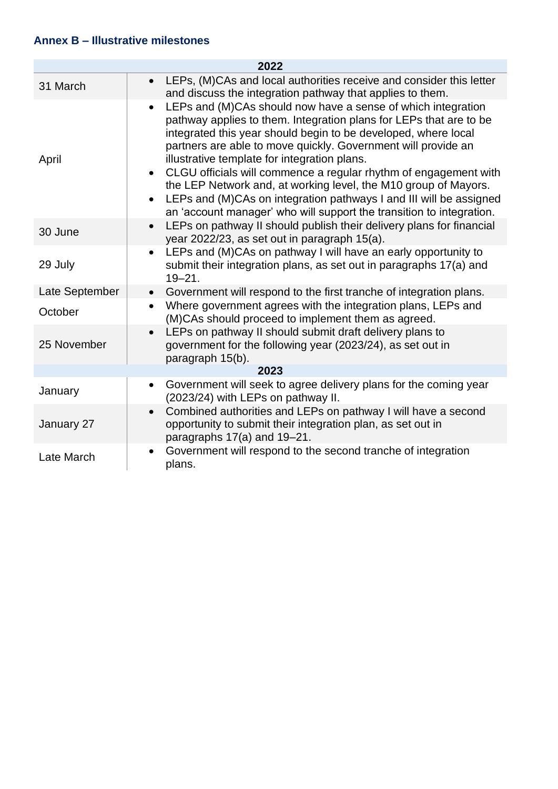### **Annex B – Illustrative milestones**

| 2022           |                                                                                                                                                                                                                                                                                                                                                                                                                                                                                        |  |
|----------------|----------------------------------------------------------------------------------------------------------------------------------------------------------------------------------------------------------------------------------------------------------------------------------------------------------------------------------------------------------------------------------------------------------------------------------------------------------------------------------------|--|
| 31 March       | LEPs, (M)CAs and local authorities receive and consider this letter<br>$\bullet$<br>and discuss the integration pathway that applies to them.                                                                                                                                                                                                                                                                                                                                          |  |
| April          | LEPs and (M)CAs should now have a sense of which integration<br>$\bullet$<br>pathway applies to them. Integration plans for LEPs that are to be<br>integrated this year should begin to be developed, where local<br>partners are able to move quickly. Government will provide an<br>illustrative template for integration plans.<br>CLGU officials will commence a regular rhythm of engagement with<br>$\bullet$<br>the LEP Network and, at working level, the M10 group of Mayors. |  |
|                | LEPs and (M)CAs on integration pathways I and III will be assigned<br>$\bullet$<br>an 'account manager' who will support the transition to integration.                                                                                                                                                                                                                                                                                                                                |  |
| 30 June        | LEPs on pathway II should publish their delivery plans for financial<br>$\bullet$<br>year 2022/23, as set out in paragraph 15(a).                                                                                                                                                                                                                                                                                                                                                      |  |
| 29 July        | LEPs and (M)CAs on pathway I will have an early opportunity to<br>$\bullet$<br>submit their integration plans, as set out in paragraphs 17(a) and<br>$19 - 21.$                                                                                                                                                                                                                                                                                                                        |  |
| Late September | Government will respond to the first tranche of integration plans.<br>$\bullet$                                                                                                                                                                                                                                                                                                                                                                                                        |  |
| October        | Where government agrees with the integration plans, LEPs and<br>$\bullet$<br>(M)CAs should proceed to implement them as agreed.                                                                                                                                                                                                                                                                                                                                                        |  |
| 25 November    | LEPs on pathway II should submit draft delivery plans to<br>$\bullet$<br>government for the following year (2023/24), as set out in<br>paragraph 15(b).                                                                                                                                                                                                                                                                                                                                |  |
| 2023           |                                                                                                                                                                                                                                                                                                                                                                                                                                                                                        |  |
| January        | Government will seek to agree delivery plans for the coming year<br>$\bullet$<br>(2023/24) with LEPs on pathway II.                                                                                                                                                                                                                                                                                                                                                                    |  |
| January 27     | Combined authorities and LEPs on pathway I will have a second<br>$\bullet$<br>opportunity to submit their integration plan, as set out in<br>paragraphs 17(a) and 19-21.                                                                                                                                                                                                                                                                                                               |  |
| Late March     | Government will respond to the second tranche of integration<br>$\bullet$<br>plans.                                                                                                                                                                                                                                                                                                                                                                                                    |  |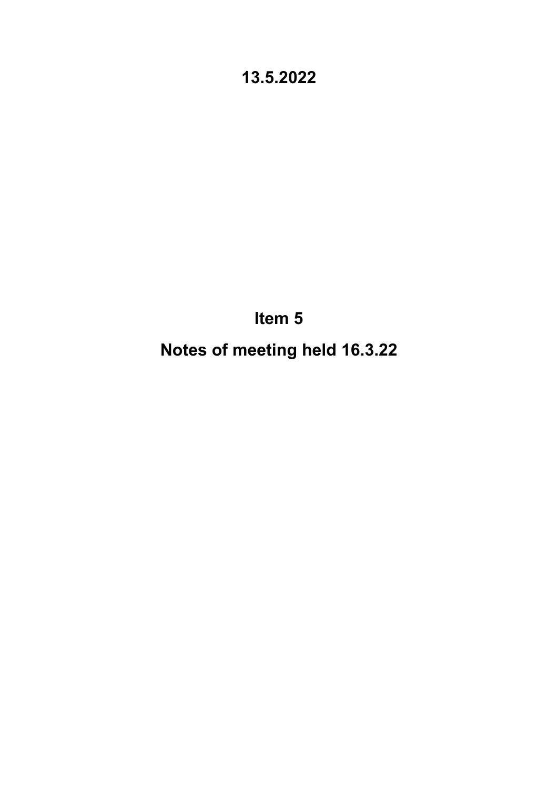**Item 5**

**Notes of meeting held 16.3.22**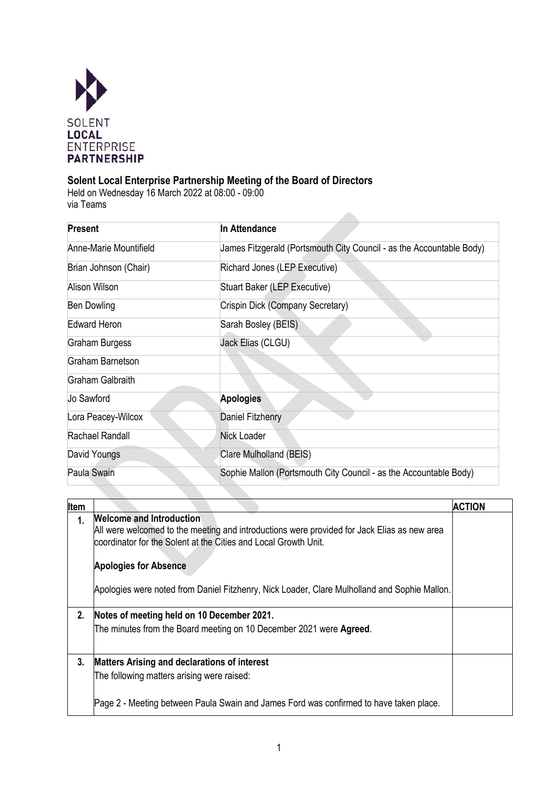

### **Solent Local Enterprise Partnership Meeting of the Board of Directors**

Held on Wednesday 16 March 2022 at 08:00 - 09:00 via Teams

| Present                | In Attendance                                                        |
|------------------------|----------------------------------------------------------------------|
| Anne-Marie Mountifield | James Fitzgerald (Portsmouth City Council - as the Accountable Body) |
| Brian Johnson (Chair)  | Richard Jones (LEP Executive)                                        |
| Alison Wilson          | Stuart Baker (LEP Executive)                                         |
| Ben Dowling            | Crispin Dick (Company Secretary)                                     |
| <b>Edward Heron</b>    | Sarah Bosley (BEIS)                                                  |
| Graham Burgess         | Jack Elias (CLGU)                                                    |
| Graham Barnetson       |                                                                      |
| Graham Galbraith       |                                                                      |
| Jo Sawford             | <b>Apologies</b>                                                     |
| Lora Peacey-Wilcox     | Daniel Fitzhenry                                                     |
| Rachael Randall        | <b>Nick Loader</b>                                                   |
| David Youngs           | Clare Mulholland (BEIS)                                              |
| Paula Swain            | Sophie Mallon (Portsmouth City Council - as the Accountable Body)    |

| Item |                                                                                                                                                                                                   | <b>ACTION</b> |
|------|---------------------------------------------------------------------------------------------------------------------------------------------------------------------------------------------------|---------------|
| 1.   | <b>Welcome and Introduction</b><br>All were welcomed to the meeting and introductions were provided for Jack Elias as new area<br>coordinator for the Solent at the Cities and Local Growth Unit. |               |
|      | <b>Apologies for Absence</b>                                                                                                                                                                      |               |
|      | Apologies were noted from Daniel Fitzhenry, Nick Loader, Clare Mulholland and Sophie Mallon.                                                                                                      |               |
| 2.   | Notes of meeting held on 10 December 2021.                                                                                                                                                        |               |
|      | The minutes from the Board meeting on 10 December 2021 were Agreed.                                                                                                                               |               |
| 3.   | <b>Matters Arising and declarations of interest</b>                                                                                                                                               |               |
|      | The following matters arising were raised:                                                                                                                                                        |               |
|      | Page 2 - Meeting between Paula Swain and James Ford was confirmed to have taken place.                                                                                                            |               |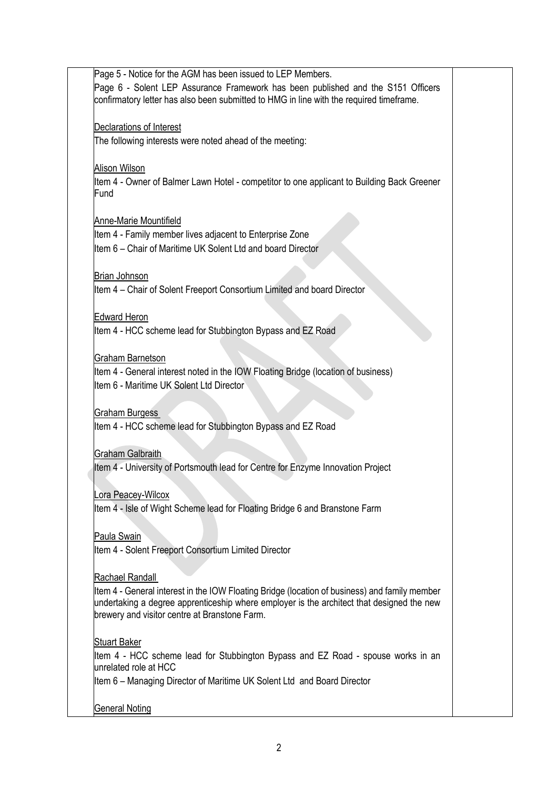Page 5 - Notice for the AGM has been issued to LEP Members. Page 6 - Solent LEP Assurance Framework has been published and the S151 Officers confirmatory letter has also been submitted to HMG in line with the required timeframe. Declarations of Interest The following interests were noted ahead of the meeting: Alison Wilson Item 4 - Owner of Balmer Lawn Hotel - competitor to one applicant to Building Back Greener Fund Anne-Marie Mountifield Item 4 - Family member lives adjacent to Enterprise Zone Item 6 – Chair of Maritime UK Solent Ltd and board Director Brian Johnson Item 4 – Chair of Solent Freeport Consortium Limited and board Director Edward Heron Item 4 - HCC scheme lead for Stubbington Bypass and EZ Road Graham Barnetson Item 4 - General interest noted in the IOW Floating Bridge (location of business) Item 6 - Maritime UK Solent Ltd Director Graham Burgess Item 4 - HCC scheme lead for Stubbington Bypass and EZ Road Graham Galbraith tem 4 - University of Portsmouth lead for Centre for Enzyme Innovation Project Lora Peacey-Wilcox Item 4 - Isle of Wight Scheme lead for Floating Bridge 6 and Branstone Farm Paula Swain Item 4 - Solent Freeport Consortium Limited Director Rachael Randall Item 4 - General interest in the IOW Floating Bridge (location of business) and family member undertaking a degree apprenticeship where employer is the architect that designed the new brewery and visitor centre at Branstone Farm. Stuart Baker Item 4 - HCC scheme lead for Stubbington Bypass and EZ Road - spouse works in an unrelated role at HCC Item 6 – Managing Director of Maritime UK Solent Ltd and Board Director General Noting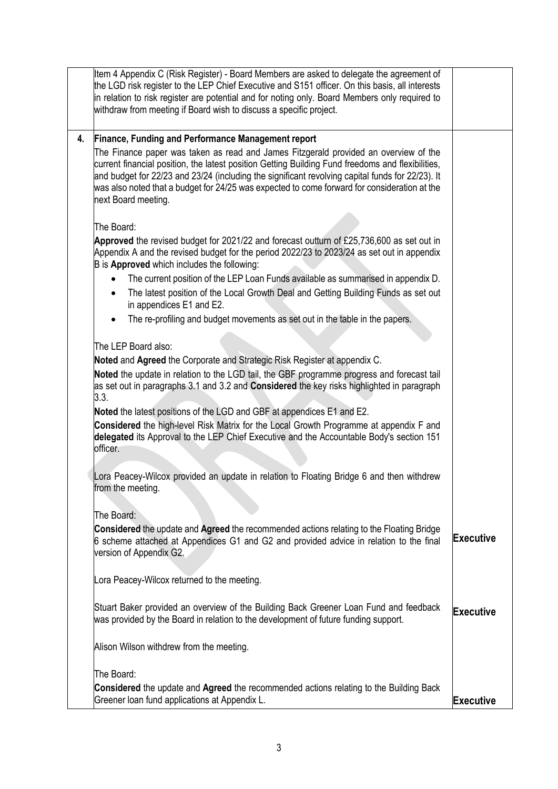|    | Item 4 Appendix C (Risk Register) - Board Members are asked to delegate the agreement of<br>the LGD risk register to the LEP Chief Executive and S151 officer. On this basis, all interests<br>in relation to risk register are potential and for noting only. Board Members only required to<br>withdraw from meeting if Board wish to discuss a specific project.                                                  |                  |
|----|----------------------------------------------------------------------------------------------------------------------------------------------------------------------------------------------------------------------------------------------------------------------------------------------------------------------------------------------------------------------------------------------------------------------|------------------|
| 4. | <b>Finance, Funding and Performance Management report</b>                                                                                                                                                                                                                                                                                                                                                            |                  |
|    | The Finance paper was taken as read and James Fitzgerald provided an overview of the<br>current financial position, the latest position Getting Building Fund freedoms and flexibilities,<br>and budget for 22/23 and 23/24 (including the significant revolving capital funds for 22/23). It<br>was also noted that a budget for 24/25 was expected to come forward for consideration at the<br>next Board meeting. |                  |
|    | The Board:                                                                                                                                                                                                                                                                                                                                                                                                           |                  |
|    | Approved the revised budget for 2021/22 and forecast outturn of £25,736,600 as set out in<br>Appendix A and the revised budget for the period 2022/23 to 2023/24 as set out in appendix<br>B is Approved which includes the following:                                                                                                                                                                               |                  |
|    | The current position of the LEP Loan Funds available as summarised in appendix D.                                                                                                                                                                                                                                                                                                                                    |                  |
|    | The latest position of the Local Growth Deal and Getting Building Funds as set out<br>٠<br>in appendices E1 and E2.                                                                                                                                                                                                                                                                                                  |                  |
|    | The re-profiling and budget movements as set out in the table in the papers.                                                                                                                                                                                                                                                                                                                                         |                  |
|    | The LEP Board also:                                                                                                                                                                                                                                                                                                                                                                                                  |                  |
|    | Noted and Agreed the Corporate and Strategic Risk Register at appendix C.                                                                                                                                                                                                                                                                                                                                            |                  |
|    | Noted the update in relation to the LGD tail, the GBF programme progress and forecast tail<br>as set out in paragraphs 3.1 and 3.2 and <b>Considered</b> the key risks highlighted in paragraph<br>3.3.                                                                                                                                                                                                              |                  |
|    | Noted the latest positions of the LGD and GBF at appendices E1 and E2.                                                                                                                                                                                                                                                                                                                                               |                  |
|    | Considered the high-level Risk Matrix for the Local Growth Programme at appendix F and<br>delegated its Approval to the LEP Chief Executive and the Accountable Body's section 151<br>officer.                                                                                                                                                                                                                       |                  |
|    | Lora Peacey-Wilcox provided an update in relation to Floating Bridge 6 and then withdrew<br>from the meeting.                                                                                                                                                                                                                                                                                                        |                  |
|    | The Board:                                                                                                                                                                                                                                                                                                                                                                                                           |                  |
|    | Considered the update and Agreed the recommended actions relating to the Floating Bridge<br>6 scheme attached at Appendices G1 and G2 and provided advice in relation to the final<br>version of Appendix G2.                                                                                                                                                                                                        | Executive        |
|    | Lora Peacey-Wilcox returned to the meeting.                                                                                                                                                                                                                                                                                                                                                                          |                  |
|    | Stuart Baker provided an overview of the Building Back Greener Loan Fund and feedback<br>was provided by the Board in relation to the development of future funding support.                                                                                                                                                                                                                                         | <b>Executive</b> |
|    | Alison Wilson withdrew from the meeting.                                                                                                                                                                                                                                                                                                                                                                             |                  |
|    | The Board:                                                                                                                                                                                                                                                                                                                                                                                                           |                  |
|    | <b>Considered</b> the update and Agreed the recommended actions relating to the Building Back<br>Greener loan fund applications at Appendix L.                                                                                                                                                                                                                                                                       | <b>Executive</b> |
|    |                                                                                                                                                                                                                                                                                                                                                                                                                      |                  |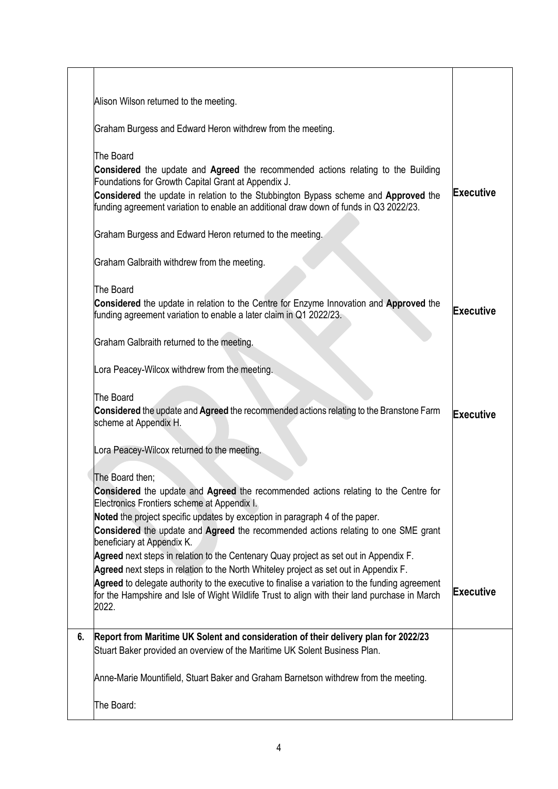|    | Alison Wilson returned to the meeting.                                                                                                                                                                                                                                                                                                                                                                                                                                                                                                                                                                                                                                                                                                                         |                  |
|----|----------------------------------------------------------------------------------------------------------------------------------------------------------------------------------------------------------------------------------------------------------------------------------------------------------------------------------------------------------------------------------------------------------------------------------------------------------------------------------------------------------------------------------------------------------------------------------------------------------------------------------------------------------------------------------------------------------------------------------------------------------------|------------------|
|    | Graham Burgess and Edward Heron withdrew from the meeting.                                                                                                                                                                                                                                                                                                                                                                                                                                                                                                                                                                                                                                                                                                     |                  |
|    | The Board<br>Considered the update and Agreed the recommended actions relating to the Building<br>Foundations for Growth Capital Grant at Appendix J.<br>Considered the update in relation to the Stubbington Bypass scheme and Approved the<br>funding agreement variation to enable an additional draw down of funds in Q3 2022/23.<br>Graham Burgess and Edward Heron returned to the meeting.                                                                                                                                                                                                                                                                                                                                                              | <b>Executive</b> |
|    | Graham Galbraith withdrew from the meeting.                                                                                                                                                                                                                                                                                                                                                                                                                                                                                                                                                                                                                                                                                                                    |                  |
|    | The Board<br>Considered the update in relation to the Centre for Enzyme Innovation and Approved the<br>funding agreement variation to enable a later claim in Q1 2022/23.                                                                                                                                                                                                                                                                                                                                                                                                                                                                                                                                                                                      | Executive        |
|    | Graham Galbraith returned to the meeting.                                                                                                                                                                                                                                                                                                                                                                                                                                                                                                                                                                                                                                                                                                                      |                  |
|    | Lora Peacey-Wilcox withdrew from the meeting.                                                                                                                                                                                                                                                                                                                                                                                                                                                                                                                                                                                                                                                                                                                  |                  |
|    | The Board<br>Considered the update and Agreed the recommended actions relating to the Branstone Farm<br>scheme at Appendix H.                                                                                                                                                                                                                                                                                                                                                                                                                                                                                                                                                                                                                                  | <b>Executive</b> |
|    | Lora Peacey-Wilcox returned to the meeting.                                                                                                                                                                                                                                                                                                                                                                                                                                                                                                                                                                                                                                                                                                                    |                  |
|    | The Board then;<br><b>Considered</b> the update and Agreed the recommended actions relating to the Centre for<br>Electronics Frontiers scheme at Appendix I.<br>Noted the project specific updates by exception in paragraph 4 of the paper.<br>Considered the update and Agreed the recommended actions relating to one SME grant<br>beneficiary at Appendix K.<br>Agreed next steps in relation to the Centenary Quay project as set out in Appendix F.<br>Agreed next steps in relation to the North Whiteley project as set out in Appendix F.<br>Agreed to delegate authority to the executive to finalise a variation to the funding agreement<br>for the Hampshire and Isle of Wight Wildlife Trust to align with their land purchase in March<br>2022. | <b>Executive</b> |
| 6. | Report from Maritime UK Solent and consideration of their delivery plan for 2022/23<br>Stuart Baker provided an overview of the Maritime UK Solent Business Plan.                                                                                                                                                                                                                                                                                                                                                                                                                                                                                                                                                                                              |                  |
|    | Anne-Marie Mountifield, Stuart Baker and Graham Barnetson withdrew from the meeting.                                                                                                                                                                                                                                                                                                                                                                                                                                                                                                                                                                                                                                                                           |                  |
|    | The Board:                                                                                                                                                                                                                                                                                                                                                                                                                                                                                                                                                                                                                                                                                                                                                     |                  |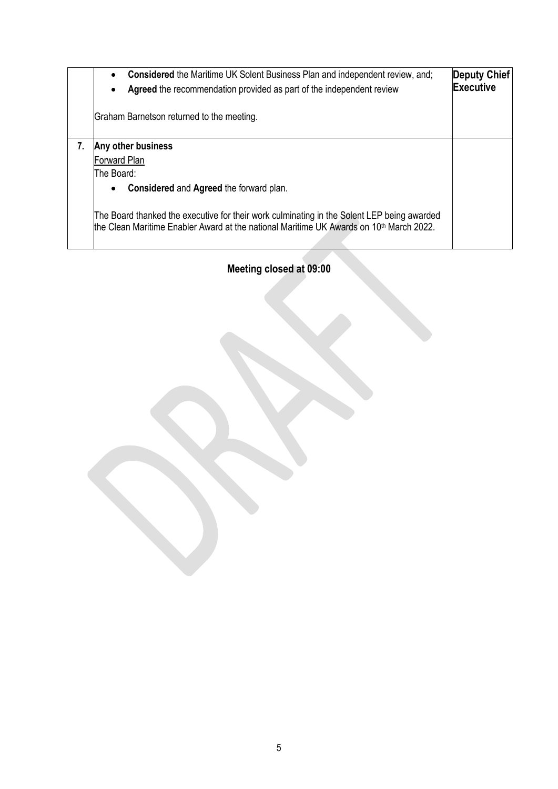| <b>Considered</b> the Maritime UK Solent Business Plan and independent review, and;<br>$\bullet$<br>Agreed the recommendation provided as part of the independent review                          | Deputy Chief<br><b>Executive</b> |
|---------------------------------------------------------------------------------------------------------------------------------------------------------------------------------------------------|----------------------------------|
| Graham Barnetson returned to the meeting.                                                                                                                                                         |                                  |
| Any other business<br>Forward Plan<br>The Board:<br>Considered and Agreed the forward plan.<br>$\bullet$                                                                                          |                                  |
| The Board thanked the executive for their work culminating in the Solent LEP being awarded<br>the Clean Maritime Enabler Award at the national Maritime UK Awards on 10 <sup>th</sup> March 2022. |                                  |

**Meeting closed at 09:00**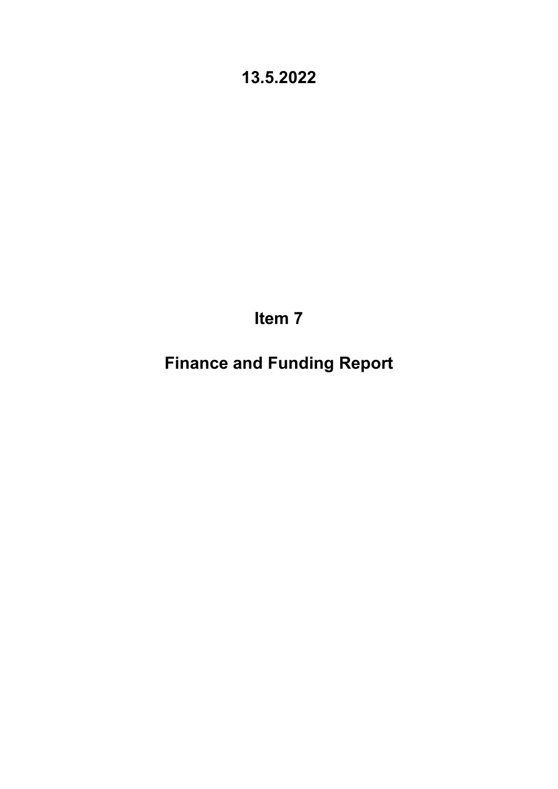**Item 7**

**Finance and Funding Report**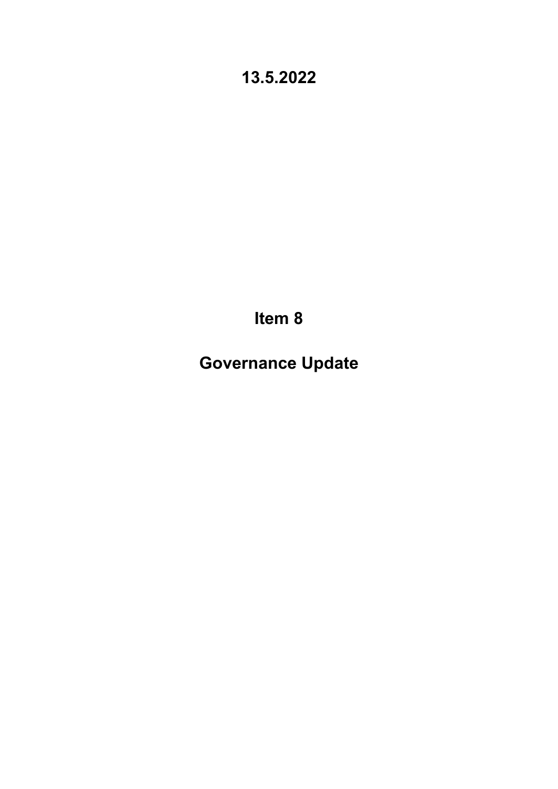**Item 8**

**Governance Update**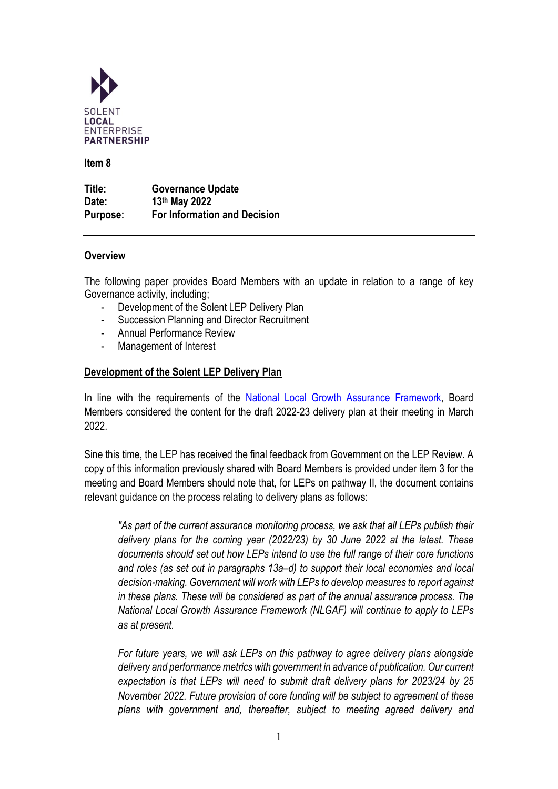

**Item 8** 

**Title: Governance Update Date: 13th May 2022 Purpose: For Information and Decision**

### **Overview**

The following paper provides Board Members with an update in relation to a range of key Governance activity, including;

- Development of the Solent LEP Delivery Plan
- Succession Planning and Director Recruitment
- Annual Performance Review
- Management of Interest

### **Development of the Solent LEP Delivery Plan**

In line with the requirements of the [National Local Growth Assurance Framework,](https://assets.publishing.service.gov.uk/government/uploads/system/uploads/attachment_data/file/768356/National_Local_Growth_Assurance_Framework.pdf) Board Members considered the content for the draft 2022-23 delivery plan at their meeting in March 2022.

Sine this time, the LEP has received the final feedback from Government on the LEP Review. A copy of this information previously shared with Board Members is provided under item 3 for the meeting and Board Members should note that, for LEPs on pathway II, the document contains relevant guidance on the process relating to delivery plans as follows:

*"As part of the current assurance monitoring process, we ask that all LEPs publish their delivery plans for the coming year (2022/23) by 30 June 2022 at the latest. These documents should set out how LEPs intend to use the full range of their core functions and roles (as set out in paragraphs 13a–d) to support their local economies and local decision-making. Government will work with LEPs to develop measures to report against in these plans. These will be considered as part of the annual assurance process. The National Local Growth Assurance Framework (NLGAF) will continue to apply to LEPs as at present.*

*For future years, we will ask LEPs on this pathway to agree delivery plans alongside delivery and performance metrics with government in advance of publication. Our current expectation is that LEPs will need to submit draft delivery plans for 2023/24 by 25 November 2022. Future provision of core funding will be subject to agreement of these plans with government and, thereafter, subject to meeting agreed delivery and*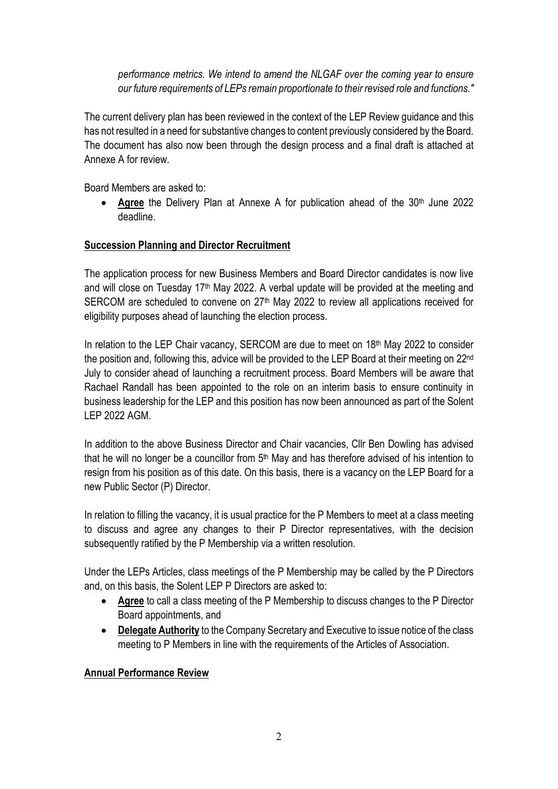*performance metrics. We intend to amend the NLGAF over the coming year to ensure our future requirements of LEPs remain proportionate to their revised role and functions."*

The current delivery plan has been reviewed in the context of the LEP Review guidance and this has not resulted in a need for substantive changes to content previously considered by the Board. The document has also now been through the design process and a final draft is attached at Annexe A for review.

Board Members are asked to:

Agree the Delivery Plan at Annexe A for publication ahead of the 30<sup>th</sup> June 2022 deadline.

### **Succession Planning and Director Recruitment**

The application process for new Business Members and Board Director candidates is now live and will close on Tuesday 17<sup>th</sup> May 2022. A verbal update will be provided at the meeting and SERCOM are scheduled to convene on 27<sup>th</sup> May 2022 to review all applications received for eligibility purposes ahead of launching the election process.

In relation to the LEP Chair vacancy, SERCOM are due to meet on 18<sup>th</sup> May 2022 to consider the position and, following this, advice will be provided to the LEP Board at their meeting on 22<sup>nd</sup> July to consider ahead of launching a recruitment process. Board Members will be aware that Rachael Randall has been appointed to the role on an interim basis to ensure continuity in business leadership for the LEP and this position has now been announced as part of the Solent LEP 2022 AGM.

In addition to the above Business Director and Chair vacancies, Cllr Ben Dowling has advised that he will no longer be a councillor from 5<sup>th</sup> May and has therefore advised of his intention to resign from his position as of this date. On this basis, there is a vacancy on the LEP Board for a new Public Sector (P) Director.

In relation to filling the vacancy, it is usual practice for the P Members to meet at a class meeting to discuss and agree any changes to their P Director representatives, with the decision subsequently ratified by the P Membership via a written resolution.

Under the LEPs Articles, class meetings of the P Membership may be called by the P Directors and, on this basis, the Solent LEP P Directors are asked to:

- **Agree** to call a class meeting of the P Membership to discuss changes to the P Director Board appointments, and
- **Delegate Authority** to the Company Secretary and Executive to issue notice of the class meeting to P Members in line with the requirements of the Articles of Association.

### **Annual Performance Review**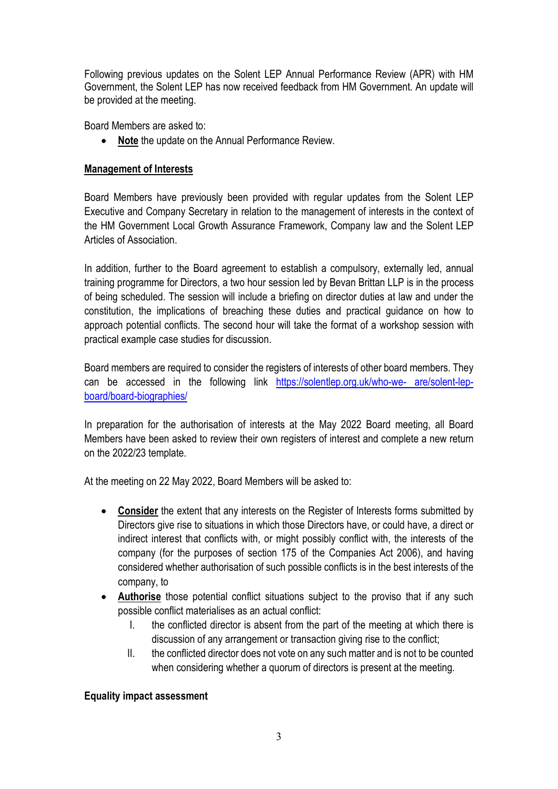Following previous updates on the Solent LEP Annual Performance Review (APR) with HM Government, the Solent LEP has now received feedback from HM Government. An update will be provided at the meeting.

Board Members are asked to:

• **Note** the update on the Annual Performance Review.

### **Management of Interests**

Board Members have previously been provided with regular updates from the Solent LEP Executive and Company Secretary in relation to the management of interests in the context of the HM Government Local Growth Assurance Framework, Company law and the Solent LEP Articles of Association.

In addition, further to the Board agreement to establish a compulsory, externally led, annual training programme for Directors, a two hour session led by Bevan Brittan LLP is in the process of being scheduled. The session will include a briefing on director duties at law and under the constitution, the implications of breaching these duties and practical guidance on how to approach potential conflicts. The second hour will take the format of a workshop session with practical example case studies for discussion.

Board members are required to consider the registers of interests of other board members. They can be accessed in the following link [https://solentlep.org.uk/who-we- are/solent-lep](https://solentlep.org.uk/who-we-%20are/solent-lep-board/board-biographies/)[board/board-biographies/](https://solentlep.org.uk/who-we-%20are/solent-lep-board/board-biographies/) 

In preparation for the authorisation of interests at the May 2022 Board meeting, all Board Members have been asked to review their own registers of interest and complete a new return on the 2022/23 template.

At the meeting on 22 May 2022, Board Members will be asked to:

- **Consider** the extent that any interests on the Register of Interests forms submitted by Directors give rise to situations in which those Directors have, or could have, a direct or indirect interest that conflicts with, or might possibly conflict with, the interests of the company (for the purposes of section 175 of the Companies Act 2006), and having considered whether authorisation of such possible conflicts is in the best interests of the company, to
- **Authorise** those potential conflict situations subject to the proviso that if any such possible conflict materialises as an actual conflict:
	- I. the conflicted director is absent from the part of the meeting at which there is discussion of any arrangement or transaction giving rise to the conflict;
	- II. the conflicted director does not vote on any such matter and is not to be counted when considering whether a quorum of directors is present at the meeting.

### **Equality impact assessment**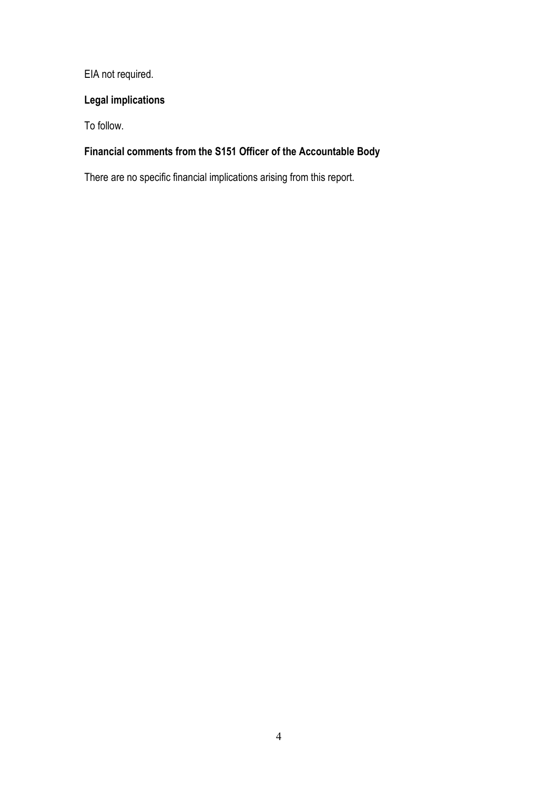EIA not required.

### **Legal implications**

To follow.

### **Financial comments from the S151 Officer of the Accountable Body**

There are no specific financial implications arising from this report.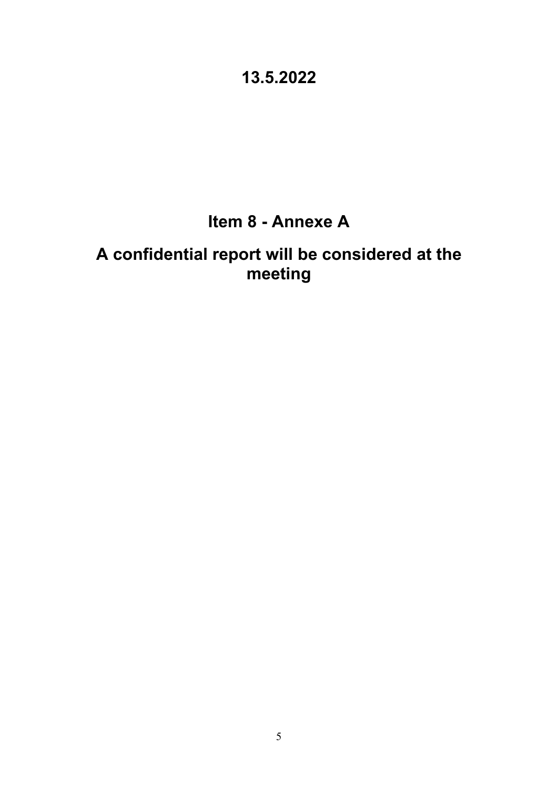# **Item 8 - Annexe A**

# **A confidential report will be considered at the meeting**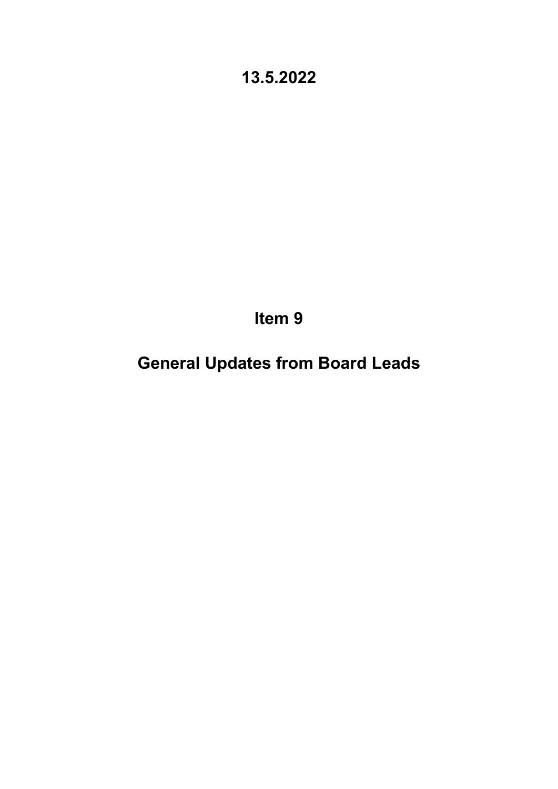**Item 9**

**General Updates from Board Leads**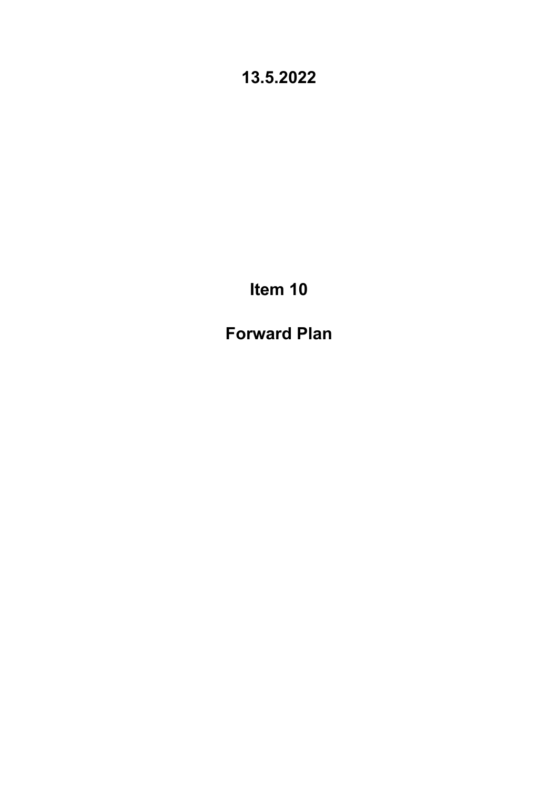**Item 10**

**Forward Plan**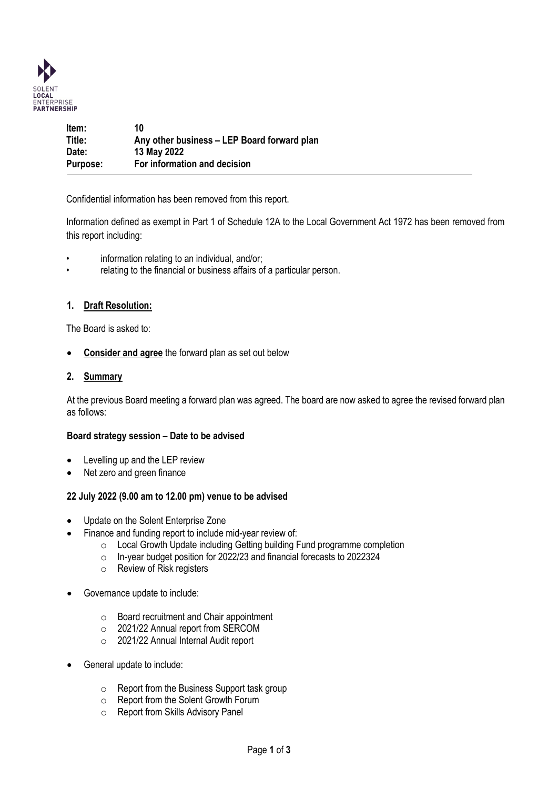

| Item:           | 10                                          |
|-----------------|---------------------------------------------|
| Title:          | Any other business – LEP Board forward plan |
| Date:           | 13 May 2022                                 |
| <b>Purpose:</b> | For information and decision                |

Confidential information has been removed from this report.

Information defined as exempt in Part 1 of Schedule 12A to the Local Government Act 1972 has been removed from this report including:

- information relating to an individual, and/or;
- relating to the financial or business affairs of a particular person.

### **1. Draft Resolution:**

The Board is asked to:

• **Consider and agree** the forward plan as set out below

### **2. Summary**

At the previous Board meeting a forward plan was agreed. The board are now asked to agree the revised forward plan as follows:

### **Board strategy session – Date to be advised**

- Levelling up and the LEP review
- Net zero and green finance

### **22 July 2022 (9.00 am to 12.00 pm) venue to be advised**

- Update on the Solent Enterprise Zone
- Finance and funding report to include mid-year review of:
	- o Local Growth Update including Getting building Fund programme completion
	- o In-year budget position for 2022/23 and financial forecasts to 2022324
	- o Review of Risk registers
- Governance update to include:
	- o Board recruitment and Chair appointment
	- o 2021/22 Annual report from SERCOM
	- o 2021/22 Annual Internal Audit report
- General update to include:
	- o Report from the Business Support task group
	- Report from the Solent Growth Forum<br>○ Report from Skills Advisory Panel
	- Report from Skills Advisory Panel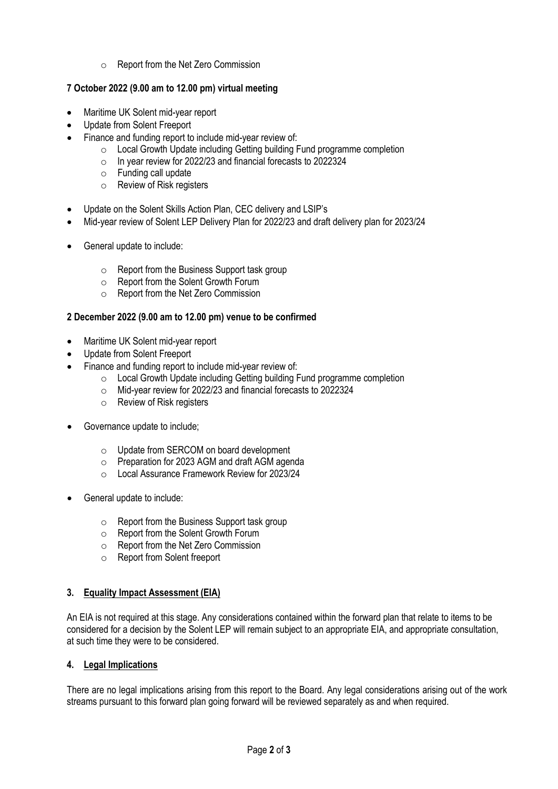o Report from the Net Zero Commission

### **7 October 2022 (9.00 am to 12.00 pm) virtual meeting**

- Maritime UK Solent mid-year report
- Update from Solent Freeport
- Finance and funding report to include mid-year review of:
	- o Local Growth Update including Getting building Fund programme completion
	- o In year review for 2022/23 and financial forecasts to 2022324
	- o Funding call update
	- o Review of Risk registers
- Update on the Solent Skills Action Plan, CEC delivery and LSIP's
- Mid-year review of Solent LEP Delivery Plan for 2022/23 and draft delivery plan for 2023/24
- General update to include:
	- o Report from the Business Support task group
	- o Report from the Solent Growth Forum
	- o Report from the Net Zero Commission

### **2 December 2022 (9.00 am to 12.00 pm) venue to be confirmed**

- Maritime UK Solent mid-year report
- Update from Solent Freeport
- Finance and funding report to include mid-year review of:
	- o Local Growth Update including Getting building Fund programme completion
	- o Mid-year review for 2022/23 and financial forecasts to 2022324
	- o Review of Risk registers
- Governance update to include;
	- o Update from SERCOM on board development
	- o Preparation for 2023 AGM and draft AGM agenda
	- o Local Assurance Framework Review for 2023/24
- General update to include:
	- o Report from the Business Support task group
	- o Report from the Solent Growth Forum
	- o Report from the Net Zero Commission
	- o Report from Solent freeport

### **3. Equality Impact Assessment (EIA)**

An EIA is not required at this stage. Any considerations contained within the forward plan that relate to items to be considered for a decision by the Solent LEP will remain subject to an appropriate EIA, and appropriate consultation, at such time they were to be considered.

### **4. Legal Implications**

There are no legal implications arising from this report to the Board. Any legal considerations arising out of the work streams pursuant to this forward plan going forward will be reviewed separately as and when required.